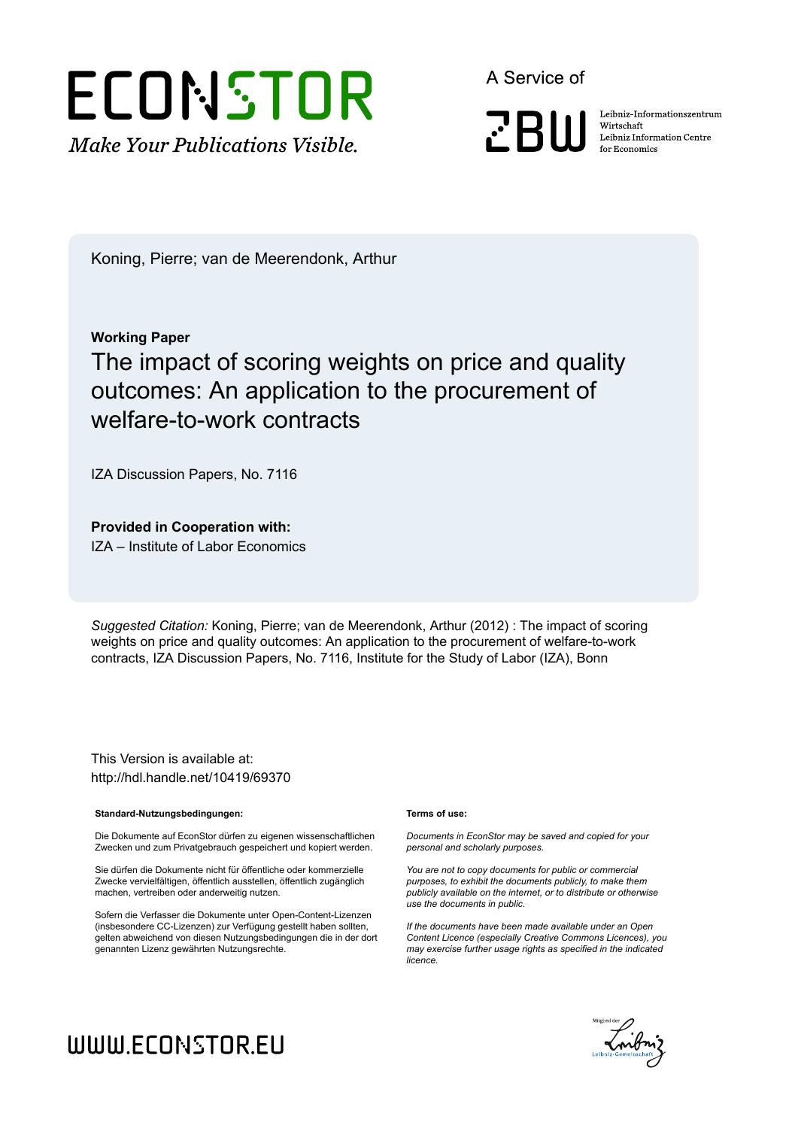# ECONSTOR **Make Your Publications Visible.**

A Service of

**PRIII** 

Leibniz Informationszentrum Wirtschaft Leibniz Information Centre for Economics

Koning, Pierre; van de Meerendonk, Arthur

#### **Working Paper**

## The impact of scoring weights on price and quality outcomes: An application to the procurement of welfare-to-work contracts

IZA Discussion Papers, No. 7116

**Provided in Cooperation with:**

IZA – Institute of Labor Economics

*Suggested Citation:* Koning, Pierre; van de Meerendonk, Arthur (2012) : The impact of scoring weights on price and quality outcomes: An application to the procurement of welfare-to-work contracts, IZA Discussion Papers, No. 7116, Institute for the Study of Labor (IZA), Bonn

This Version is available at: http://hdl.handle.net/10419/69370

#### **Standard-Nutzungsbedingungen:**

Die Dokumente auf EconStor dürfen zu eigenen wissenschaftlichen Zwecken und zum Privatgebrauch gespeichert und kopiert werden.

Sie dürfen die Dokumente nicht für öffentliche oder kommerzielle Zwecke vervielfältigen, öffentlich ausstellen, öffentlich zugänglich machen, vertreiben oder anderweitig nutzen.

Sofern die Verfasser die Dokumente unter Open-Content-Lizenzen (insbesondere CC-Lizenzen) zur Verfügung gestellt haben sollten, gelten abweichend von diesen Nutzungsbedingungen die in der dort genannten Lizenz gewährten Nutzungsrechte.

#### **Terms of use:**

*Documents in EconStor may be saved and copied for your personal and scholarly purposes.*

*You are not to copy documents for public or commercial purposes, to exhibit the documents publicly, to make them publicly available on the internet, or to distribute or otherwise use the documents in public.*

*If the documents have been made available under an Open Content Licence (especially Creative Commons Licences), you may exercise further usage rights as specified in the indicated licence.*



## WWW.ECONSTOR.EU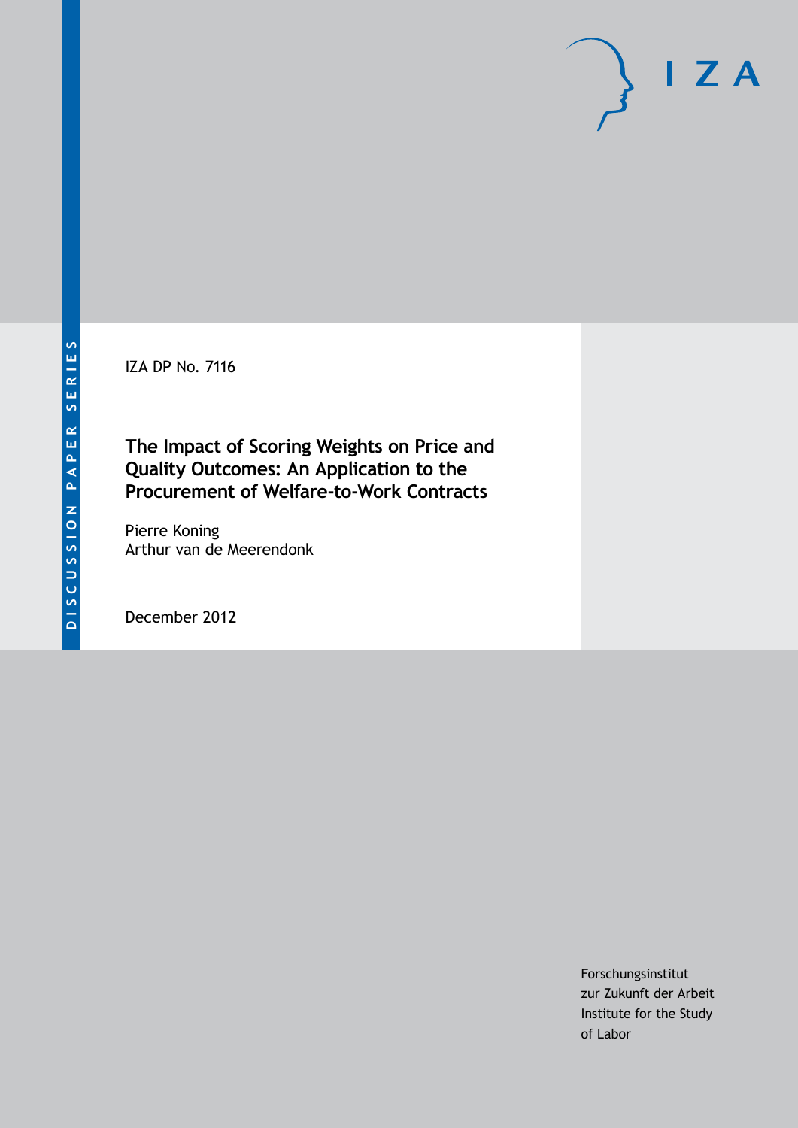IZA DP No. 7116

**The Impact of Scoring Weights on Price and Quality Outcomes: An Application to the Procurement of Welfare-to-Work Contracts**

Pierre Koning Arthur van de Meerendonk

December 2012

Forschungsinstitut zur Zukunft der Arbeit Institute for the Study of Labor

 $I Z A$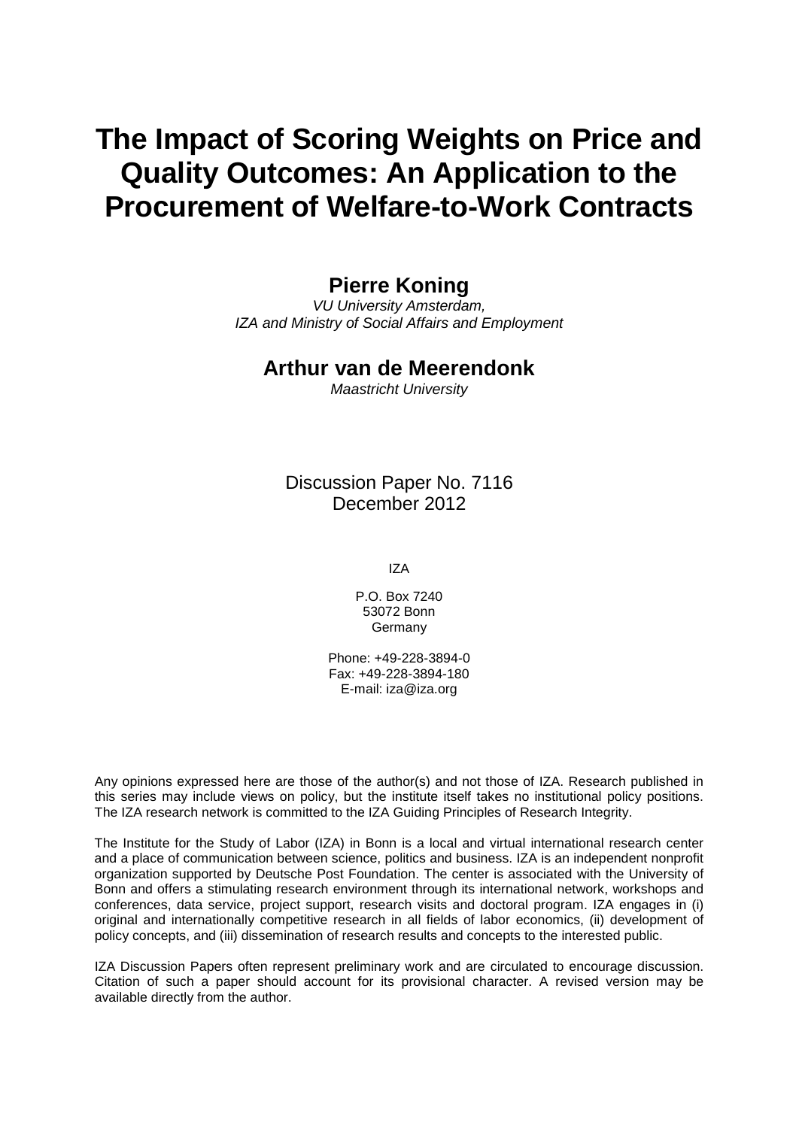## **The Impact of Scoring Weights on Price and Quality Outcomes: An Application to the Procurement of Welfare-to-Work Contracts**

## **Pierre Koning**

*VU University Amsterdam, IZA and Ministry of Social Affairs and Employment*

### **Arthur van de Meerendonk**

*Maastricht University*

### Discussion Paper No. 7116 December 2012

IZA

P.O. Box 7240 53072 Bonn Germany

Phone: +49-228-3894-0 Fax: +49-228-3894-180 E-mail: [iza@iza.org](mailto:iza@iza.org)

Any opinions expressed here are those of the author(s) and not those of IZA. Research published in this series may include views on policy, but the institute itself takes no institutional policy positions. The IZA research network is committed to the IZA Guiding Principles of Research Integrity.

The Institute for the Study of Labor (IZA) in Bonn is a local and virtual international research center and a place of communication between science, politics and business. IZA is an independent nonprofit organization supported by Deutsche Post Foundation. The center is associated with the University of Bonn and offers a stimulating research environment through its international network, workshops and conferences, data service, project support, research visits and doctoral program. IZA engages in (i) original and internationally competitive research in all fields of labor economics, (ii) development of policy concepts, and (iii) dissemination of research results and concepts to the interested public.

<span id="page-2-0"></span>IZA Discussion Papers often represent preliminary work and are circulated to encourage discussion. Citation of such a paper should account for its provisional character. A revised version may be available directly from the author.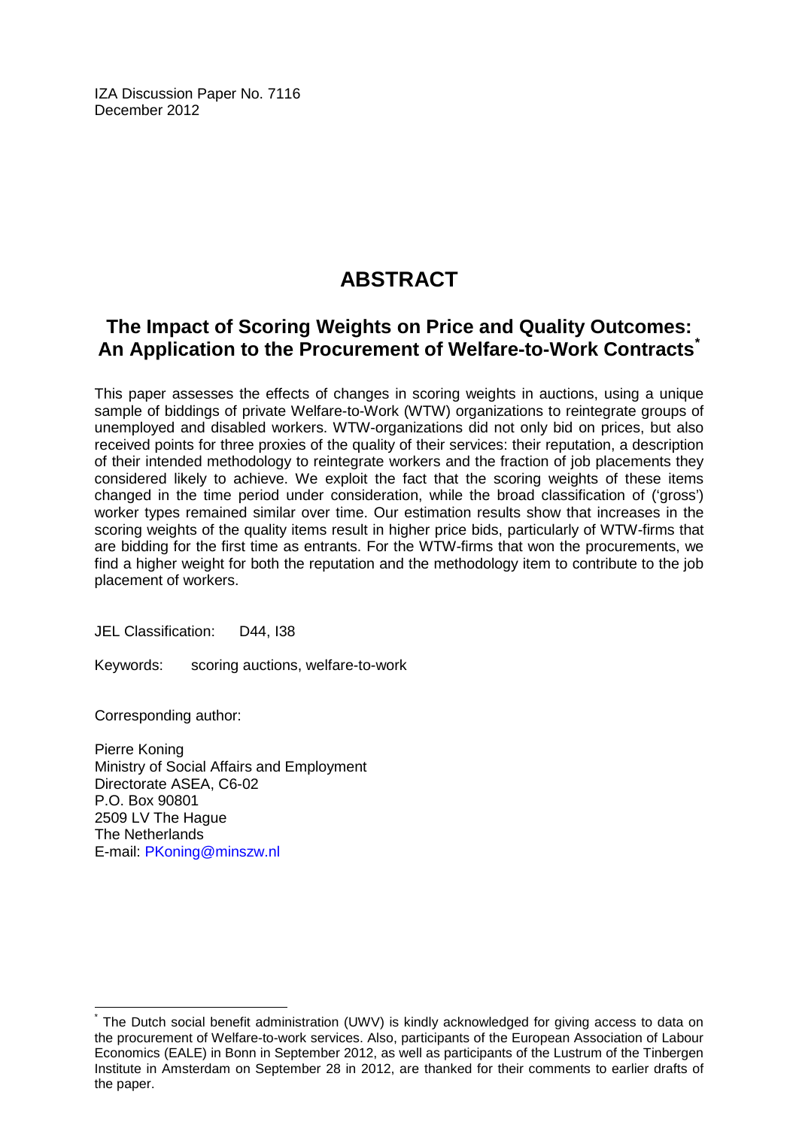IZA Discussion Paper No. 7116 December 2012

## **ABSTRACT**

## **The Impact of Scoring Weights on Price and Quality Outcomes: An Application to the Procurement of Welfare-to-Work Contracts[\\*](#page-2-0)**

This paper assesses the effects of changes in scoring weights in auctions, using a unique sample of biddings of private Welfare-to-Work (WTW) organizations to reintegrate groups of unemployed and disabled workers. WTW-organizations did not only bid on prices, but also received points for three proxies of the quality of their services: their reputation, a description of their intended methodology to reintegrate workers and the fraction of job placements they considered likely to achieve. We exploit the fact that the scoring weights of these items changed in the time period under consideration, while the broad classification of ('gross') worker types remained similar over time. Our estimation results show that increases in the scoring weights of the quality items result in higher price bids, particularly of WTW-firms that are bidding for the first time as entrants. For the WTW-firms that won the procurements, we find a higher weight for both the reputation and the methodology item to contribute to the job placement of workers.

JEL Classification: D44, I38

Keywords: scoring auctions, welfare-to-work

Corresponding author:

Pierre Koning Ministry of Social Affairs and Employment Directorate ASEA, C6-02 P.O. Box 90801 2509 LV The Hague The Netherlands E-mail: [PKoning@minszw.nl](mailto:PKoning@minszw.nl)

The Dutch social benefit administration (UWV) is kindly acknowledged for giving access to data on the procurement of Welfare-to-work services. Also, participants of the European Association of Labour Economics (EALE) in Bonn in September 2012, as well as participants of the Lustrum of the Tinbergen Institute in Amsterdam on September 28 in 2012, are thanked for their comments to earlier drafts of the paper.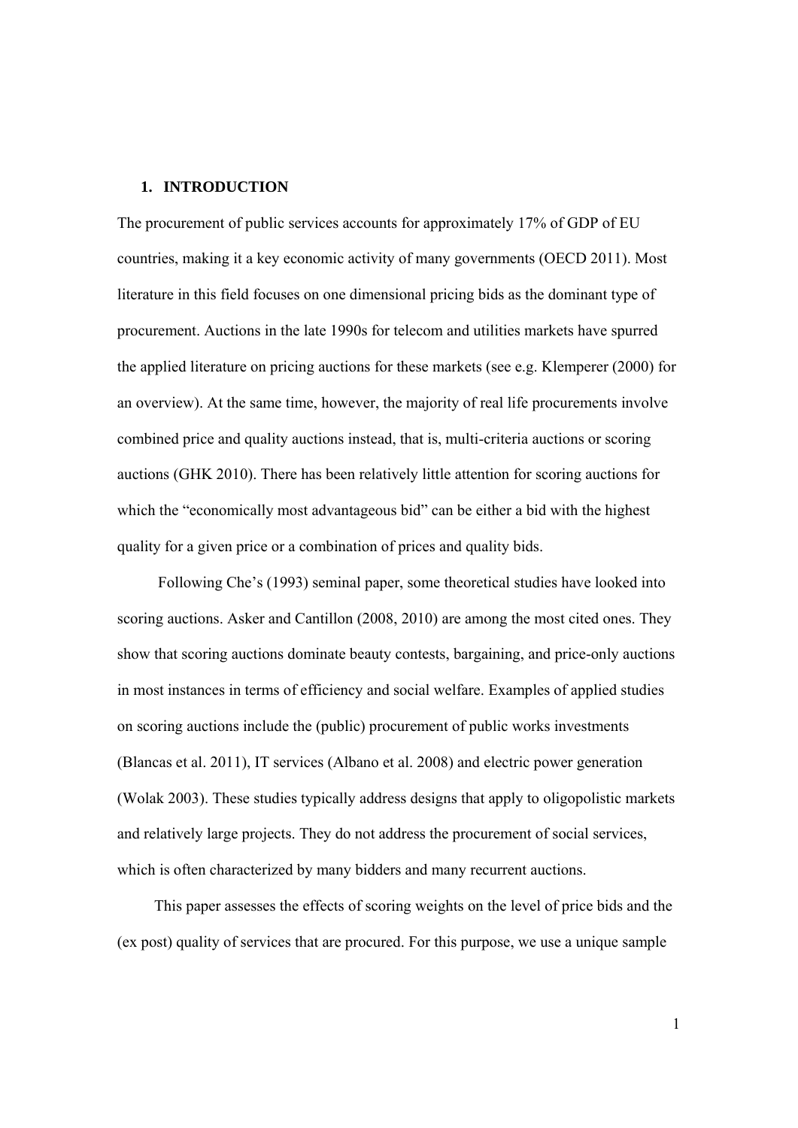#### **1. INTRODUCTION**

The procurement of public services accounts for approximately 17% of GDP of EU countries, making it a key economic activity of many governments (OECD 2011). Most literature in this field focuses on one dimensional pricing bids as the dominant type of procurement. Auctions in the late 1990s for telecom and utilities markets have spurred the applied literature on pricing auctions for these markets (see e.g. Klemperer (2000) for an overview). At the same time, however, the majority of real life procurements involve combined price and quality auctions instead, that is, multi-criteria auctions or scoring auctions (GHK 2010). There has been relatively little attention for scoring auctions for which the "economically most advantageous bid" can be either a bid with the highest quality for a given price or a combination of prices and quality bids.

 Following Che's (1993) seminal paper, some theoretical studies have looked into scoring auctions. Asker and Cantillon (2008, 2010) are among the most cited ones. They show that scoring auctions dominate beauty contests, bargaining, and price-only auctions in most instances in terms of efficiency and social welfare. Examples of applied studies on scoring auctions include the (public) procurement of public works investments (Blancas et al. 2011), IT services (Albano et al. 2008) and electric power generation (Wolak 2003). These studies typically address designs that apply to oligopolistic markets and relatively large projects. They do not address the procurement of social services, which is often characterized by many bidders and many recurrent auctions.

This paper assesses the effects of scoring weights on the level of price bids and the (ex post) quality of services that are procured. For this purpose, we use a unique sample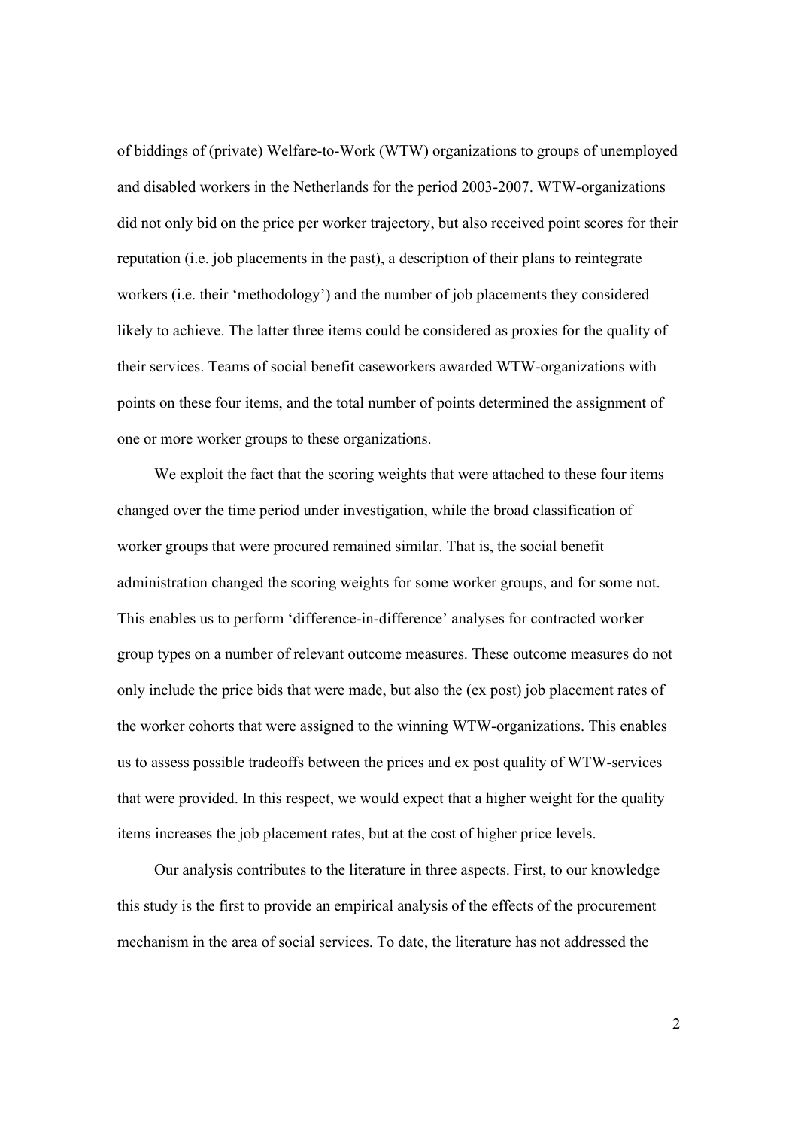of biddings of (private) Welfare-to-Work (WTW) organizations to groups of unemployed and disabled workers in the Netherlands for the period 2003-2007. WTW-organizations did not only bid on the price per worker trajectory, but also received point scores for their reputation (i.e. job placements in the past), a description of their plans to reintegrate workers (i.e. their 'methodology') and the number of job placements they considered likely to achieve. The latter three items could be considered as proxies for the quality of their services. Teams of social benefit caseworkers awarded WTW-organizations with points on these four items, and the total number of points determined the assignment of one or more worker groups to these organizations.

We exploit the fact that the scoring weights that were attached to these four items changed over the time period under investigation, while the broad classification of worker groups that were procured remained similar. That is, the social benefit administration changed the scoring weights for some worker groups, and for some not. This enables us to perform 'difference-in-difference' analyses for contracted worker group types on a number of relevant outcome measures. These outcome measures do not only include the price bids that were made, but also the (ex post) job placement rates of the worker cohorts that were assigned to the winning WTW-organizations. This enables us to assess possible tradeoffs between the prices and ex post quality of WTW-services that were provided. In this respect, we would expect that a higher weight for the quality items increases the job placement rates, but at the cost of higher price levels.

Our analysis contributes to the literature in three aspects. First, to our knowledge this study is the first to provide an empirical analysis of the effects of the procurement mechanism in the area of social services. To date, the literature has not addressed the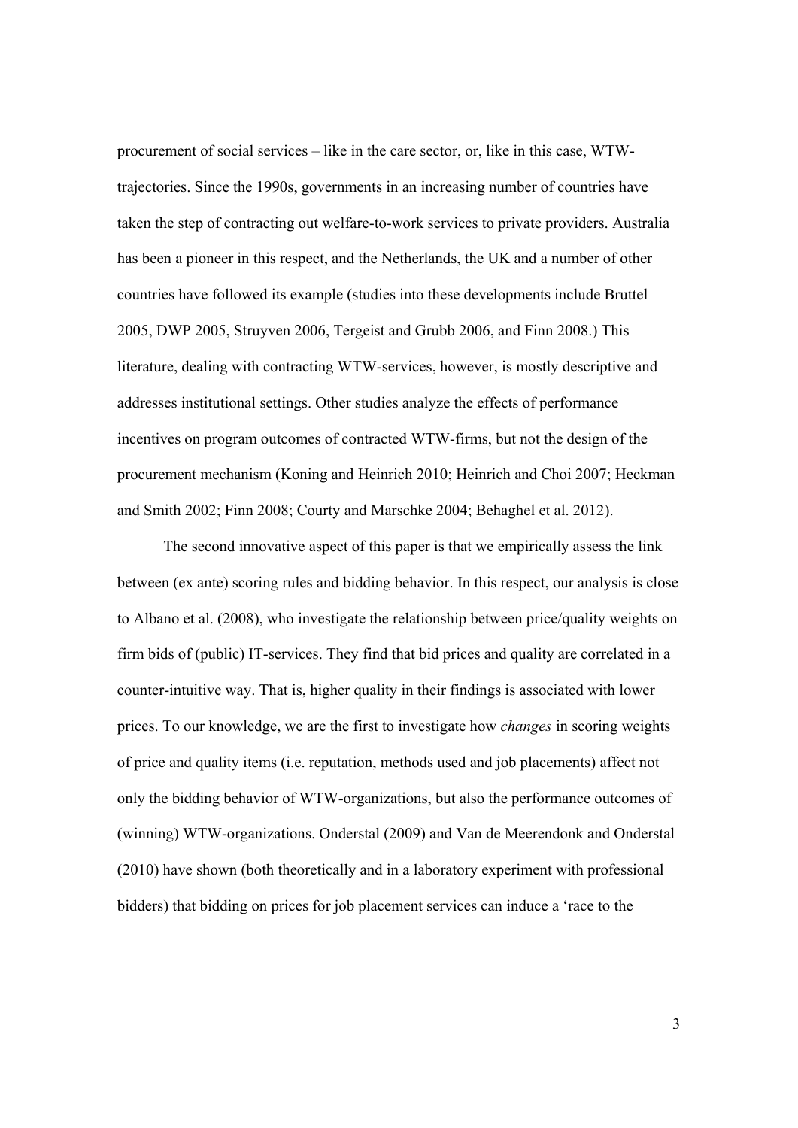procurement of social services – like in the care sector, or, like in this case, WTWtrajectories. Since the 1990s, governments in an increasing number of countries have taken the step of contracting out welfare-to-work services to private providers. Australia has been a pioneer in this respect, and the Netherlands, the UK and a number of other countries have followed its example (studies into these developments include Bruttel 2005, DWP 2005, Struyven 2006, Tergeist and Grubb 2006, and Finn 2008.) This literature, dealing with contracting WTW-services, however, is mostly descriptive and addresses institutional settings. Other studies analyze the effects of performance incentives on program outcomes of contracted WTW-firms, but not the design of the procurement mechanism (Koning and Heinrich 2010; Heinrich and Choi 2007; Heckman and Smith 2002; Finn 2008; Courty and Marschke 2004; Behaghel et al. 2012).

The second innovative aspect of this paper is that we empirically assess the link between (ex ante) scoring rules and bidding behavior. In this respect, our analysis is close to Albano et al. (2008), who investigate the relationship between price/quality weights on firm bids of (public) IT-services. They find that bid prices and quality are correlated in a counter-intuitive way. That is, higher quality in their findings is associated with lower prices. To our knowledge, we are the first to investigate how *changes* in scoring weights of price and quality items (i.e. reputation, methods used and job placements) affect not only the bidding behavior of WTW-organizations, but also the performance outcomes of (winning) WTW-organizations. Onderstal (2009) and Van de Meerendonk and Onderstal (2010) have shown (both theoretically and in a laboratory experiment with professional bidders) that bidding on prices for job placement services can induce a 'race to the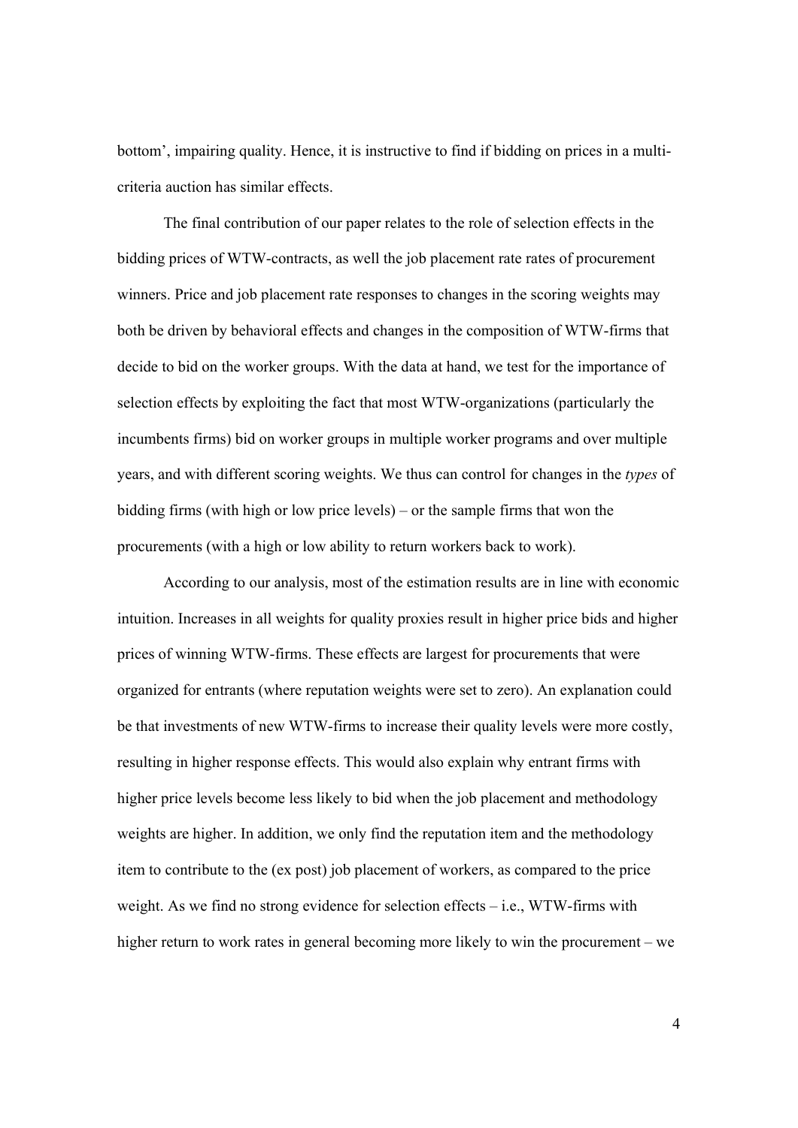bottom', impairing quality. Hence, it is instructive to find if bidding on prices in a multicriteria auction has similar effects.

The final contribution of our paper relates to the role of selection effects in the bidding prices of WTW-contracts, as well the job placement rate rates of procurement winners. Price and job placement rate responses to changes in the scoring weights may both be driven by behavioral effects and changes in the composition of WTW-firms that decide to bid on the worker groups. With the data at hand, we test for the importance of selection effects by exploiting the fact that most WTW-organizations (particularly the incumbents firms) bid on worker groups in multiple worker programs and over multiple years, and with different scoring weights. We thus can control for changes in the *types* of bidding firms (with high or low price levels) – or the sample firms that won the procurements (with a high or low ability to return workers back to work).

According to our analysis, most of the estimation results are in line with economic intuition. Increases in all weights for quality proxies result in higher price bids and higher prices of winning WTW-firms. These effects are largest for procurements that were organized for entrants (where reputation weights were set to zero). An explanation could be that investments of new WTW-firms to increase their quality levels were more costly, resulting in higher response effects. This would also explain why entrant firms with higher price levels become less likely to bid when the job placement and methodology weights are higher. In addition, we only find the reputation item and the methodology item to contribute to the (ex post) job placement of workers, as compared to the price weight. As we find no strong evidence for selection effects  $-$  i.e., WTW-firms with higher return to work rates in general becoming more likely to win the procurement – we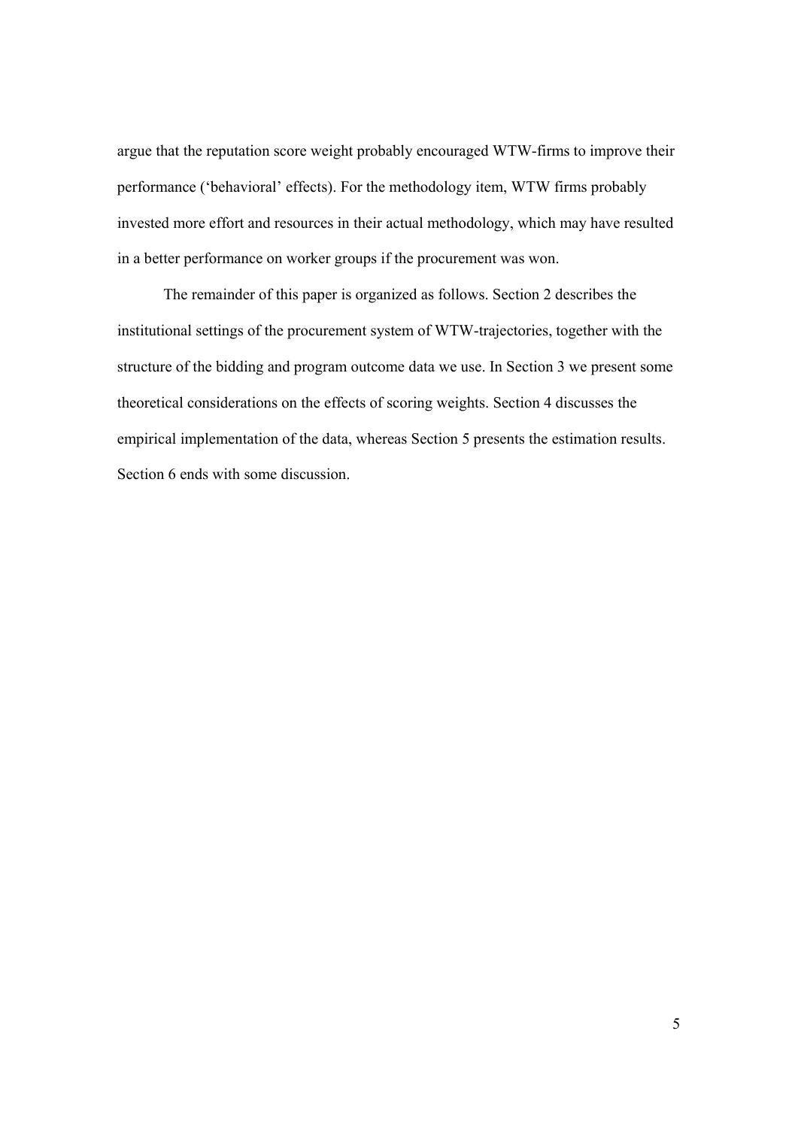argue that the reputation score weight probably encouraged WTW-firms to improve their performance ('behavioral' effects). For the methodology item, WTW firms probably invested more effort and resources in their actual methodology, which may have resulted in a better performance on worker groups if the procurement was won.

The remainder of this paper is organized as follows. Section 2 describes the institutional settings of the procurement system of WTW-trajectories, together with the structure of the bidding and program outcome data we use. In Section 3 we present some theoretical considerations on the effects of scoring weights. Section 4 discusses the empirical implementation of the data, whereas Section 5 presents the estimation results. Section 6 ends with some discussion.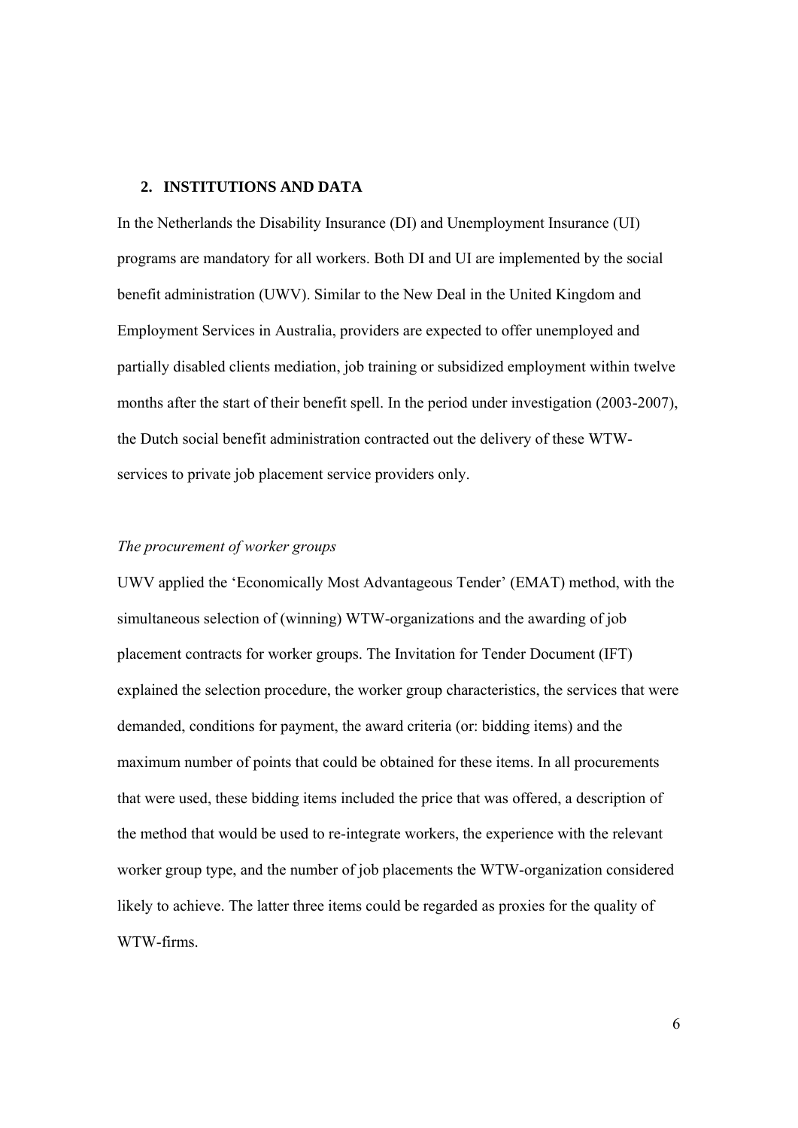#### **2. INSTITUTIONS AND DATA**

In the Netherlands the Disability Insurance (DI) and Unemployment Insurance (UI) programs are mandatory for all workers. Both DI and UI are implemented by the social benefit administration (UWV). Similar to the New Deal in the United Kingdom and Employment Services in Australia, providers are expected to offer unemployed and partially disabled clients mediation, job training or subsidized employment within twelve months after the start of their benefit spell. In the period under investigation (2003-2007), the Dutch social benefit administration contracted out the delivery of these WTWservices to private job placement service providers only.

#### *The procurement of worker groups*

UWV applied the 'Economically Most Advantageous Tender' (EMAT) method, with the simultaneous selection of (winning) WTW-organizations and the awarding of job placement contracts for worker groups. The Invitation for Tender Document (IFT) explained the selection procedure, the worker group characteristics, the services that were demanded, conditions for payment, the award criteria (or: bidding items) and the maximum number of points that could be obtained for these items. In all procurements that were used, these bidding items included the price that was offered, a description of the method that would be used to re-integrate workers, the experience with the relevant worker group type, and the number of job placements the WTW-organization considered likely to achieve. The latter three items could be regarded as proxies for the quality of WTW-firms.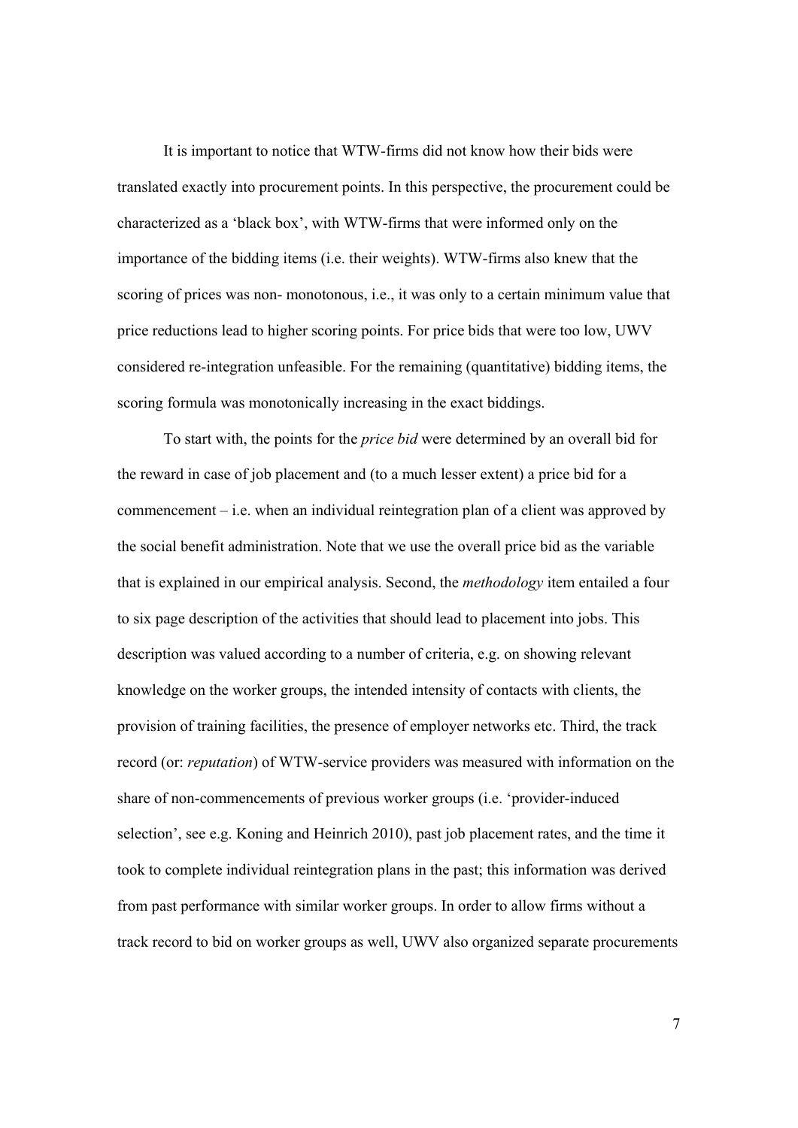It is important to notice that WTW-firms did not know how their bids were translated exactly into procurement points. In this perspective, the procurement could be characterized as a 'black box', with WTW-firms that were informed only on the importance of the bidding items (i.e. their weights). WTW-firms also knew that the scoring of prices was non- monotonous, i.e., it was only to a certain minimum value that price reductions lead to higher scoring points. For price bids that were too low, UWV considered re-integration unfeasible. For the remaining (quantitative) bidding items, the scoring formula was monotonically increasing in the exact biddings.

To start with, the points for the *price bid* were determined by an overall bid for the reward in case of job placement and (to a much lesser extent) a price bid for a commencement – i.e. when an individual reintegration plan of a client was approved by the social benefit administration. Note that we use the overall price bid as the variable that is explained in our empirical analysis. Second, the *methodology* item entailed a four to six page description of the activities that should lead to placement into jobs. This description was valued according to a number of criteria, e.g. on showing relevant knowledge on the worker groups, the intended intensity of contacts with clients, the provision of training facilities, the presence of employer networks etc. Third, the track record (or: *reputation*) of WTW-service providers was measured with information on the share of non-commencements of previous worker groups (i.e. 'provider-induced selection', see e.g. Koning and Heinrich 2010), past job placement rates, and the time it took to complete individual reintegration plans in the past; this information was derived from past performance with similar worker groups. In order to allow firms without a track record to bid on worker groups as well, UWV also organized separate procurements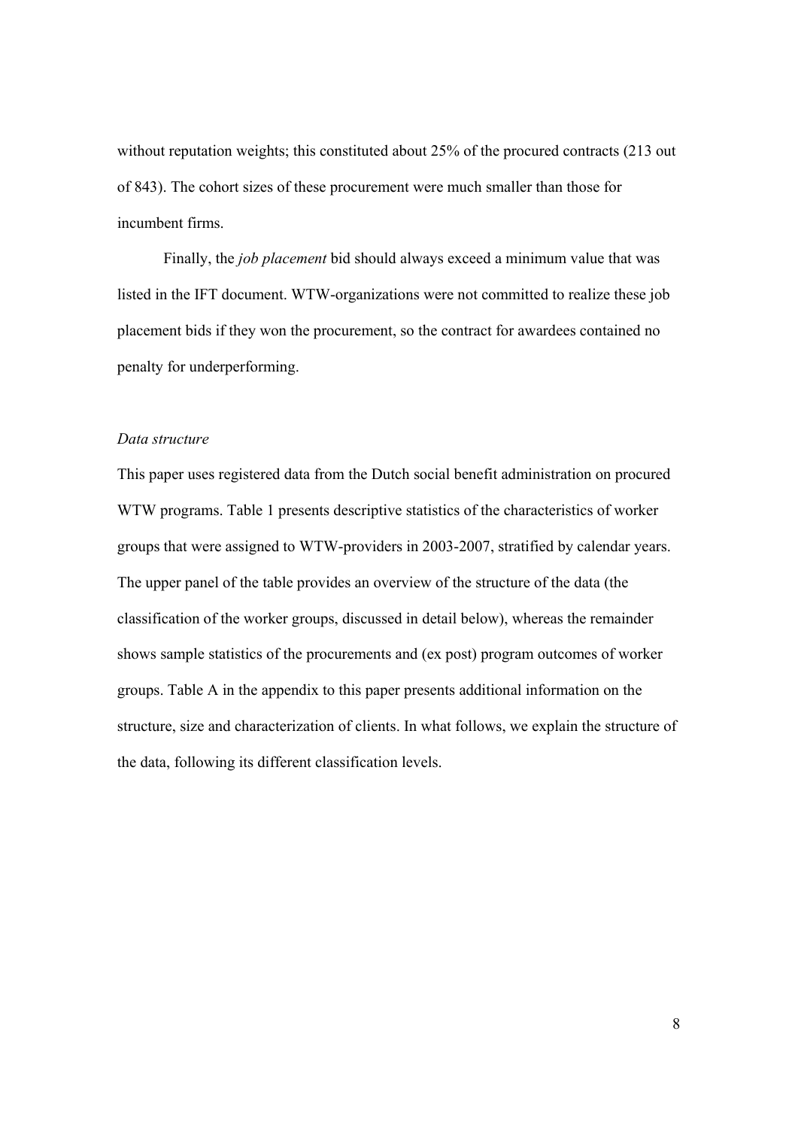without reputation weights; this constituted about 25% of the procured contracts (213 out of 843). The cohort sizes of these procurement were much smaller than those for incumbent firms.

Finally, the *job placement* bid should always exceed a minimum value that was listed in the IFT document. WTW-organizations were not committed to realize these job placement bids if they won the procurement, so the contract for awardees contained no penalty for underperforming.

#### *Data structure*

This paper uses registered data from the Dutch social benefit administration on procured WTW programs. Table 1 presents descriptive statistics of the characteristics of worker groups that were assigned to WTW-providers in 2003-2007, stratified by calendar years. The upper panel of the table provides an overview of the structure of the data (the classification of the worker groups, discussed in detail below), whereas the remainder shows sample statistics of the procurements and (ex post) program outcomes of worker groups. Table A in the appendix to this paper presents additional information on the structure, size and characterization of clients. In what follows, we explain the structure of the data, following its different classification levels.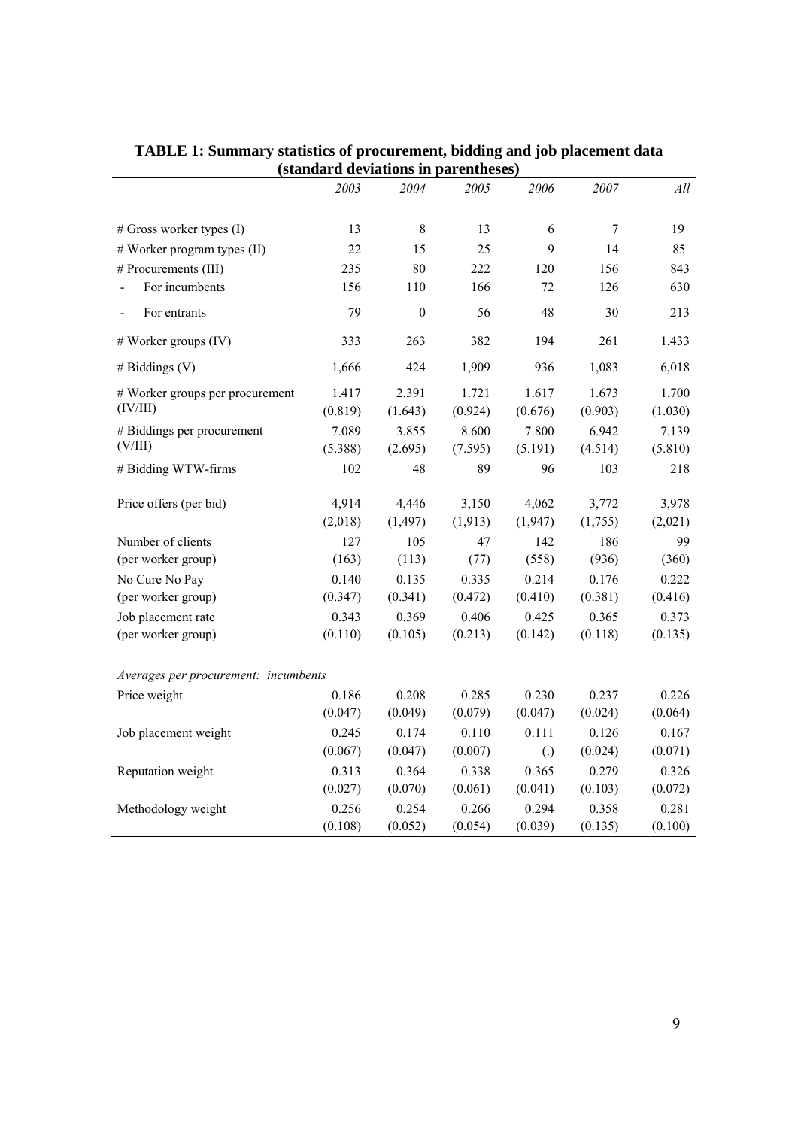|                                      |         | $(s)$ anuaru deviations in parentheses |          |                   |         |         |
|--------------------------------------|---------|----------------------------------------|----------|-------------------|---------|---------|
|                                      | 2003    | 2004                                   | 2005     | 2006              | 2007    | All     |
| # Gross worker types (I)             | 13      | $\,8\,$                                | 13       | 6                 | $\tau$  | 19      |
| # Worker program types (II)          | 22      | 15                                     | 25       | 9                 | 14      | 85      |
| # Procurements (III)                 | 235     | 80                                     | 222      | 120               | 156     | 843     |
| For incumbents                       | 156     | 110                                    | 166      | 72                | 126     | 630     |
|                                      |         |                                        |          |                   |         |         |
| For entrants                         | 79      | $\mathbf{0}$                           | 56       | 48                | 30      | 213     |
| $#$ Worker groups (IV)               | 333     | 263                                    | 382      | 194               | 261     | 1,433   |
| # Biddings $(V)$                     | 1,666   | 424                                    | 1,909    | 936               | 1,083   | 6,018   |
| # Worker groups per procurement      | 1.417   | 2.391                                  | 1.721    | 1.617             | 1.673   | 1.700   |
| (IV/III)                             | (0.819) | (1.643)                                | (0.924)  | (0.676)           | (0.903) | (1.030) |
| # Biddings per procurement           | 7.089   | 3.855                                  | 8.600    | 7.800             | 6.942   | 7.139   |
| (V/III)                              | (5.388) | (2.695)                                | (7.595)  | (5.191)           | (4.514) | (5.810) |
| # Bidding WTW-firms                  | 102     | 48                                     | 89       | 96                | 103     | 218     |
| Price offers (per bid)               | 4,914   | 4,446                                  | 3,150    | 4,062             | 3,772   | 3,978   |
|                                      | (2,018) | (1, 497)                               | (1, 913) | (1, 947)          | (1,755) | (2,021) |
| Number of clients                    | 127     | 105                                    | 47       | 142               | 186     | 99      |
| (per worker group)                   | (163)   | (113)                                  | (77)     | (558)             | (936)   | (360)   |
| No Cure No Pay                       | 0.140   | 0.135                                  | 0.335    | 0.214             | 0.176   | 0.222   |
| (per worker group)                   | (0.347) | (0.341)                                | (0.472)  | (0.410)           | (0.381) | (0.416) |
| Job placement rate                   | 0.343   | 0.369                                  | 0.406    | 0.425             | 0.365   | 0.373   |
| (per worker group)                   | (0.110) | (0.105)                                | (0.213)  | (0.142)           | (0.118) | (0.135) |
| Averages per procurement: incumbents |         |                                        |          |                   |         |         |
| Price weight                         | 0.186   | 0.208                                  | 0.285    | 0.230             | 0.237   | 0.226   |
|                                      | (0.047) | (0.049)                                | (0.079)  | (0.047)           | (0.024) | (0.064) |
| Job placement weight                 | 0.245   | 0.174                                  | 0.110    | 0.111             | 0.126   | 0.167   |
|                                      | (0.067) | (0.047)                                | (0.007)  | $\left( .\right)$ | (0.024) | (0.071) |
| Reputation weight                    | 0.313   | 0.364                                  | 0.338    | 0.365             | 0.279   | 0.326   |
|                                      | (0.027) | (0.070)                                | (0.061)  | (0.041)           | (0.103) | (0.072) |
| Methodology weight                   | 0.256   | 0.254                                  | 0.266    | 0.294             | 0.358   | 0.281   |
|                                      | (0.108) | (0.052)                                | (0.054)  | (0.039)           | (0.135) | (0.100) |

**TABLE 1: Summary statistics of procurement, bidding and job placement data (standard deviations in parentheses)**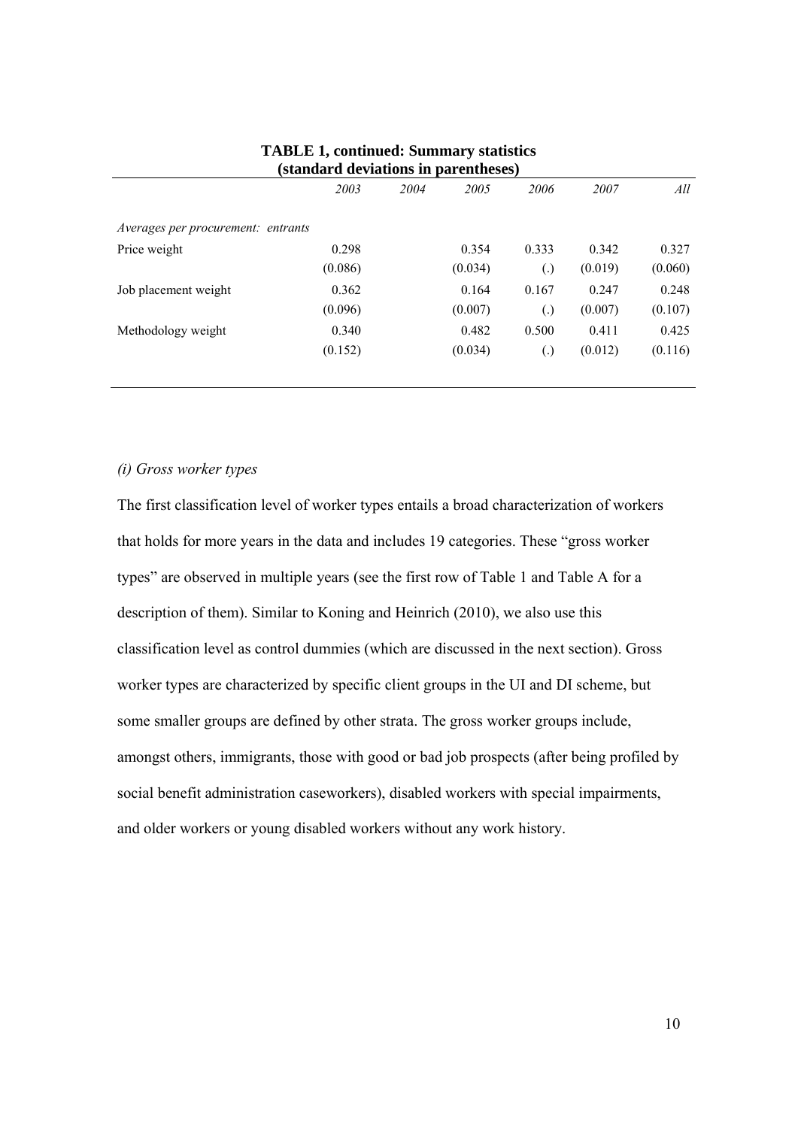|                                    |         |      | $\alpha \nu$ , rath-olio in pair chemology |                   |         |         |
|------------------------------------|---------|------|--------------------------------------------|-------------------|---------|---------|
|                                    | 2003    | 2004 | 2005                                       | 2006              | 2007    | All     |
| Averages per procurement: entrants |         |      |                                            |                   |         |         |
| Price weight                       | 0.298   |      | 0.354                                      | 0.333             | 0.342   | 0.327   |
|                                    | (0.086) |      | (0.034)                                    | $\left( .\right)$ | (0.019) | (0.060) |
| Job placement weight               | 0.362   |      | 0.164                                      | 0.167             | 0.247   | 0.248   |
|                                    | (0.096) |      | (0.007)                                    | $\left( .\right)$ | (0.007) | (0.107) |
| Methodology weight                 | 0.340   |      | 0.482                                      | 0.500             | 0.411   | 0.425   |
|                                    | (0.152) |      | (0.034)                                    | $\left( .\right)$ | (0.012) | (0.116) |
|                                    |         |      |                                            |                   |         |         |

#### **TABLE 1, continued: Summary statistics (standard deviations in parentheses)**

#### *(i) Gross worker types*

The first classification level of worker types entails a broad characterization of workers that holds for more years in the data and includes 19 categories. These "gross worker types" are observed in multiple years (see the first row of Table 1 and Table A for a description of them). Similar to Koning and Heinrich (2010), we also use this classification level as control dummies (which are discussed in the next section). Gross worker types are characterized by specific client groups in the UI and DI scheme, but some smaller groups are defined by other strata. The gross worker groups include, amongst others, immigrants, those with good or bad job prospects (after being profiled by social benefit administration caseworkers), disabled workers with special impairments, and older workers or young disabled workers without any work history.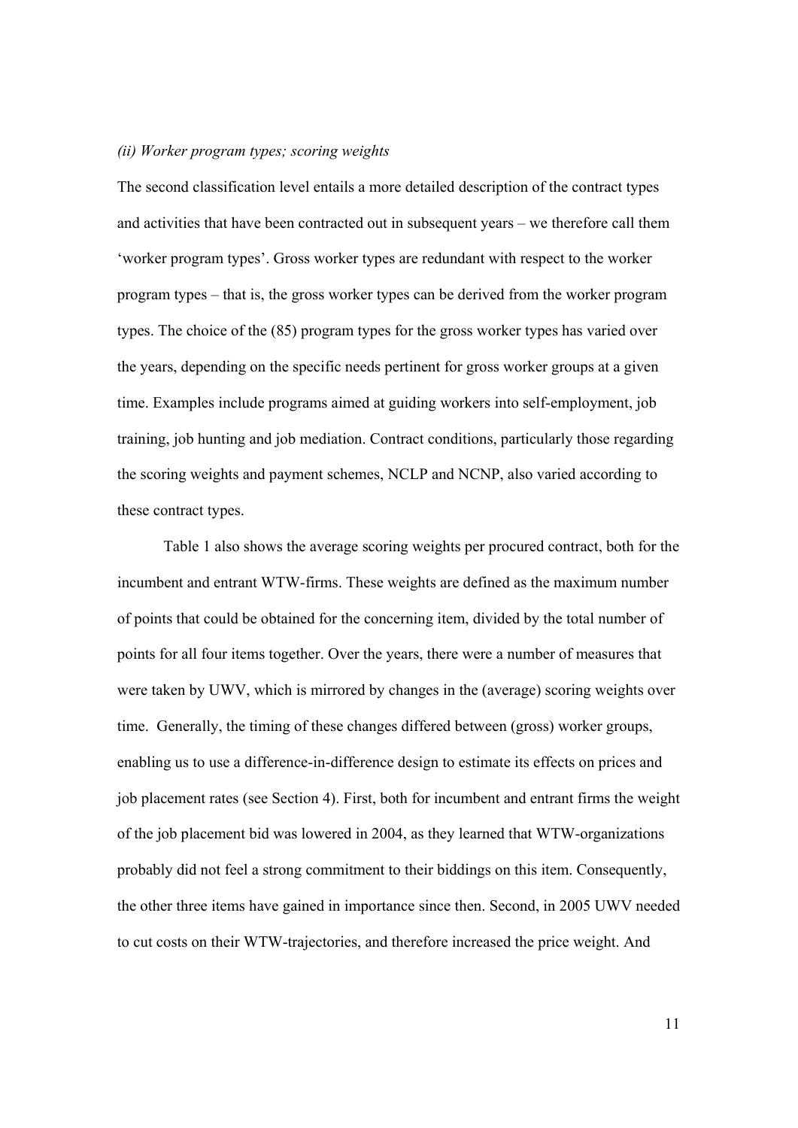#### *(ii) Worker program types; scoring weights*

The second classification level entails a more detailed description of the contract types and activities that have been contracted out in subsequent years – we therefore call them 'worker program types'. Gross worker types are redundant with respect to the worker program types – that is, the gross worker types can be derived from the worker program types. The choice of the (85) program types for the gross worker types has varied over the years, depending on the specific needs pertinent for gross worker groups at a given time. Examples include programs aimed at guiding workers into self-employment, job training, job hunting and job mediation. Contract conditions, particularly those regarding the scoring weights and payment schemes, NCLP and NCNP, also varied according to these contract types.

Table 1 also shows the average scoring weights per procured contract, both for the incumbent and entrant WTW-firms. These weights are defined as the maximum number of points that could be obtained for the concerning item, divided by the total number of points for all four items together. Over the years, there were a number of measures that were taken by UWV, which is mirrored by changes in the (average) scoring weights over time. Generally, the timing of these changes differed between (gross) worker groups, enabling us to use a difference-in-difference design to estimate its effects on prices and job placement rates (see Section 4). First, both for incumbent and entrant firms the weight of the job placement bid was lowered in 2004, as they learned that WTW-organizations probably did not feel a strong commitment to their biddings on this item. Consequently, the other three items have gained in importance since then. Second, in 2005 UWV needed to cut costs on their WTW-trajectories, and therefore increased the price weight. And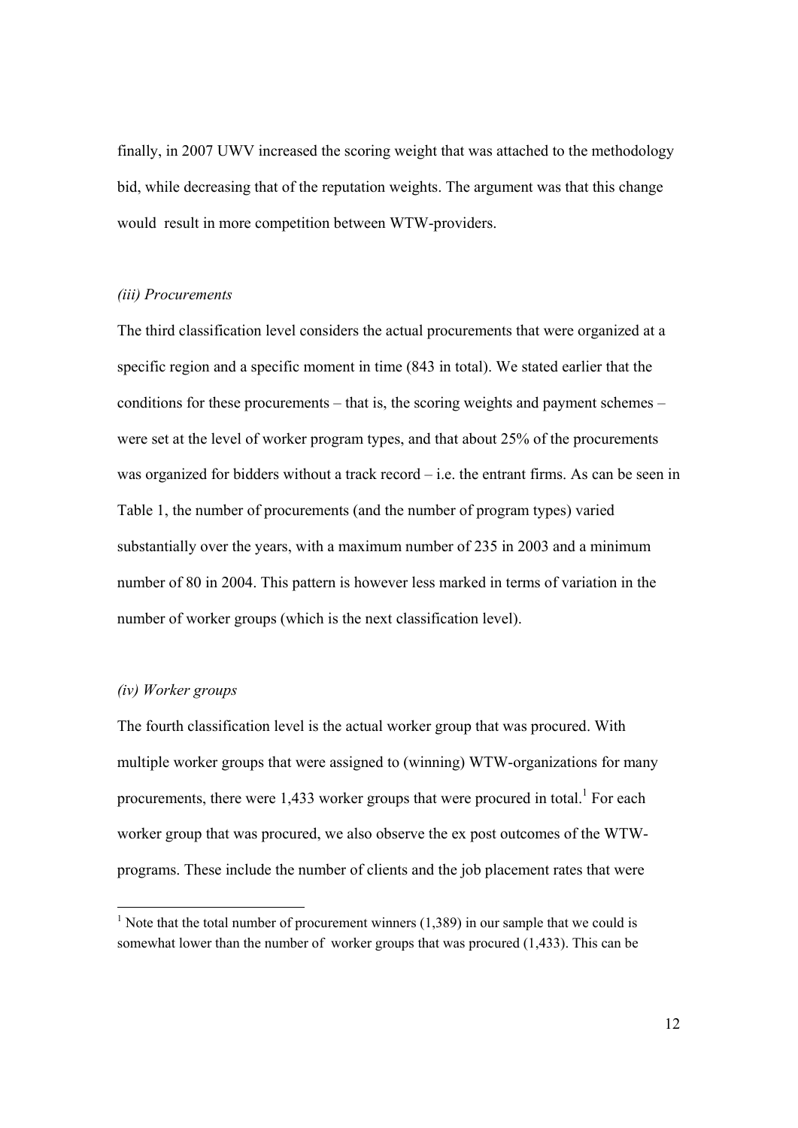finally, in 2007 UWV increased the scoring weight that was attached to the methodology bid, while decreasing that of the reputation weights. The argument was that this change would result in more competition between WTW-providers.

#### *(iii) Procurements*

The third classification level considers the actual procurements that were organized at a specific region and a specific moment in time (843 in total). We stated earlier that the conditions for these procurements – that is, the scoring weights and payment schemes – were set at the level of worker program types, and that about 25% of the procurements was organized for bidders without a track record – i.e. the entrant firms. As can be seen in Table 1, the number of procurements (and the number of program types) varied substantially over the years, with a maximum number of 235 in 2003 and a minimum number of 80 in 2004. This pattern is however less marked in terms of variation in the number of worker groups (which is the next classification level).

#### *(iv) Worker groups*

 $\overline{a}$ 

The fourth classification level is the actual worker group that was procured. With multiple worker groups that were assigned to (winning) WTW-organizations for many procurements, there were  $1,433$  worker groups that were procured in total.<sup>1</sup> For each worker group that was procured, we also observe the ex post outcomes of the WTWprograms. These include the number of clients and the job placement rates that were

<sup>&</sup>lt;sup>1</sup> Note that the total number of procurement winners  $(1,389)$  in our sample that we could is somewhat lower than the number of worker groups that was procured (1,433). This can be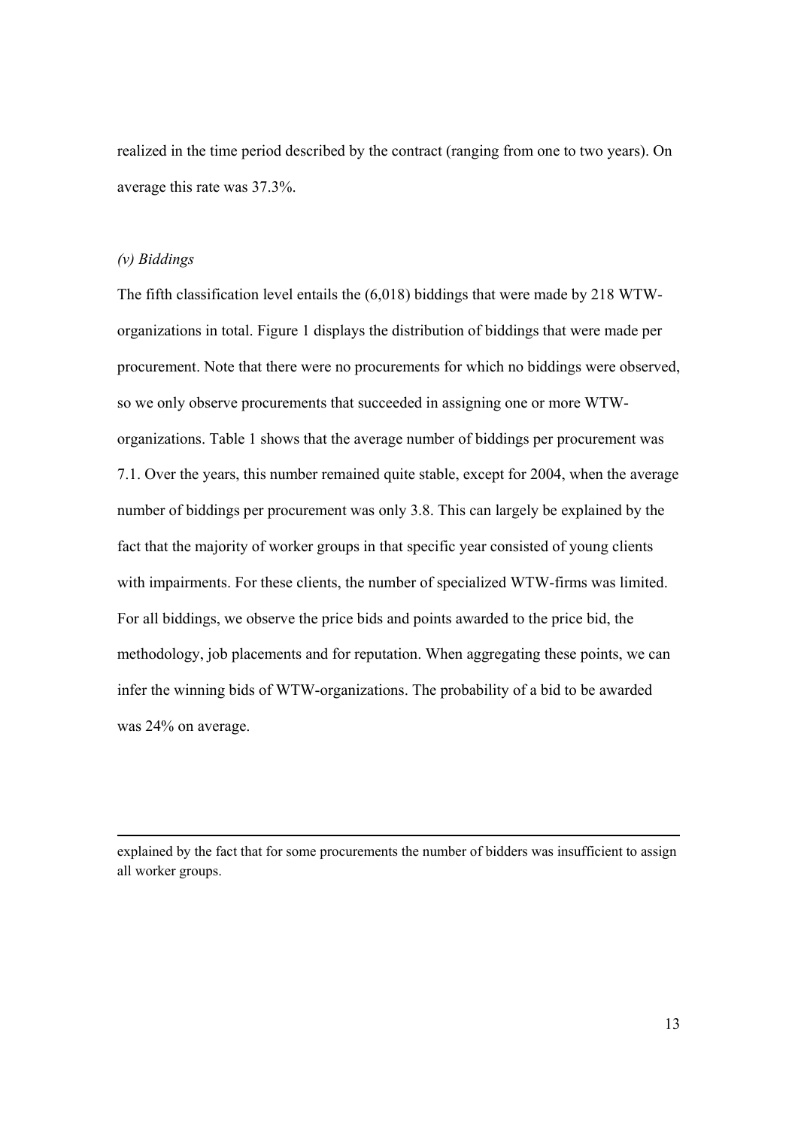realized in the time period described by the contract (ranging from one to two years). On average this rate was 37.3%.

#### *(v) Biddings*

l

The fifth classification level entails the (6,018) biddings that were made by 218 WTWorganizations in total. Figure 1 displays the distribution of biddings that were made per procurement. Note that there were no procurements for which no biddings were observed, so we only observe procurements that succeeded in assigning one or more WTWorganizations. Table 1 shows that the average number of biddings per procurement was 7.1. Over the years, this number remained quite stable, except for 2004, when the average number of biddings per procurement was only 3.8. This can largely be explained by the fact that the majority of worker groups in that specific year consisted of young clients with impairments. For these clients, the number of specialized WTW-firms was limited. For all biddings, we observe the price bids and points awarded to the price bid, the methodology, job placements and for reputation. When aggregating these points, we can infer the winning bids of WTW-organizations. The probability of a bid to be awarded was 24% on average.

explained by the fact that for some procurements the number of bidders was insufficient to assign all worker groups.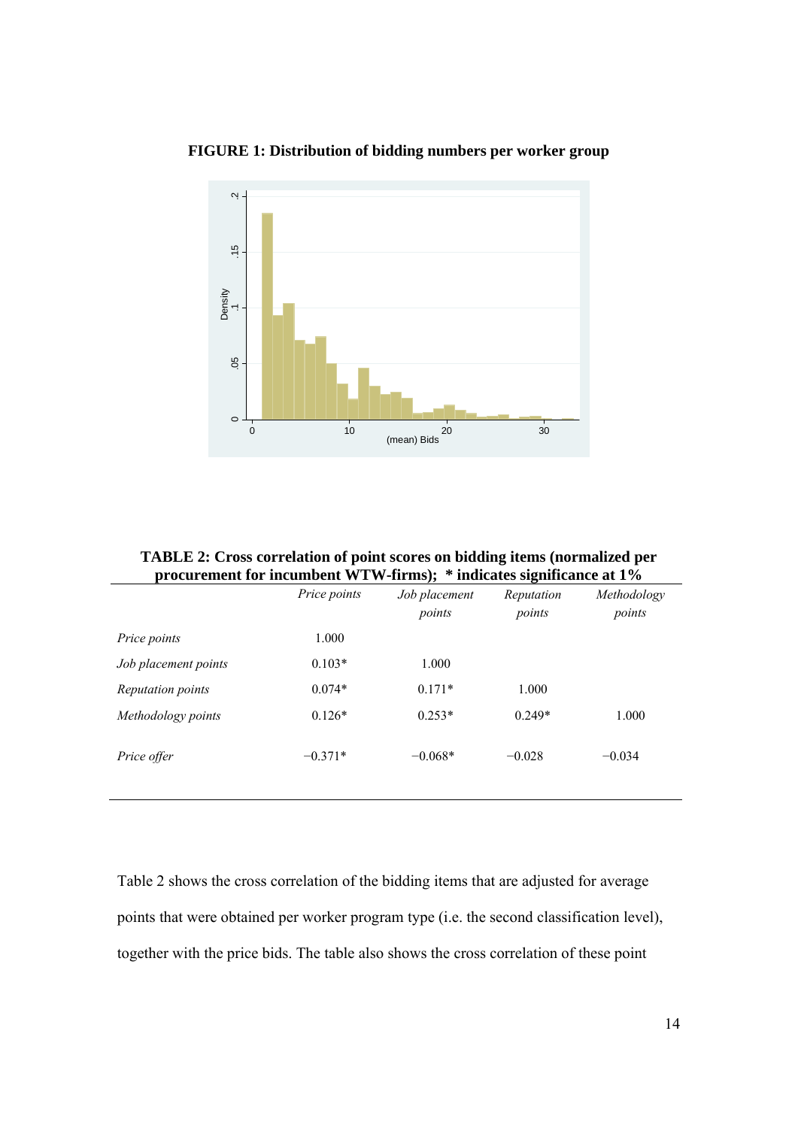

**FIGURE 1: Distribution of bidding numbers per worker group** 

| <b>TABLE 2: Cross correlation of point scores on bidding items (normalized per</b> |  |
|------------------------------------------------------------------------------------|--|
| procurement for incumbent WTW-firms); * indicates significance at 1%               |  |

|                          | Price points | Job placement<br>points | Reputation<br>points | Methodology<br>points |
|--------------------------|--------------|-------------------------|----------------------|-----------------------|
| Price points             | 1.000        |                         |                      |                       |
| Job placement points     | $0.103*$     | 1.000                   |                      |                       |
| <i>Reputation points</i> | $0.074*$     | $0.171*$                | 1.000                |                       |
| Methodology points       | $0.126*$     | $0.253*$                | $0.249*$             | 1.000                 |
| Price offer              | $-0.371*$    | $-0.068*$               | $-0.028$             | $-0.034$              |

Table 2 shows the cross correlation of the bidding items that are adjusted for average points that were obtained per worker program type (i.e. the second classification level), together with the price bids. The table also shows the cross correlation of these point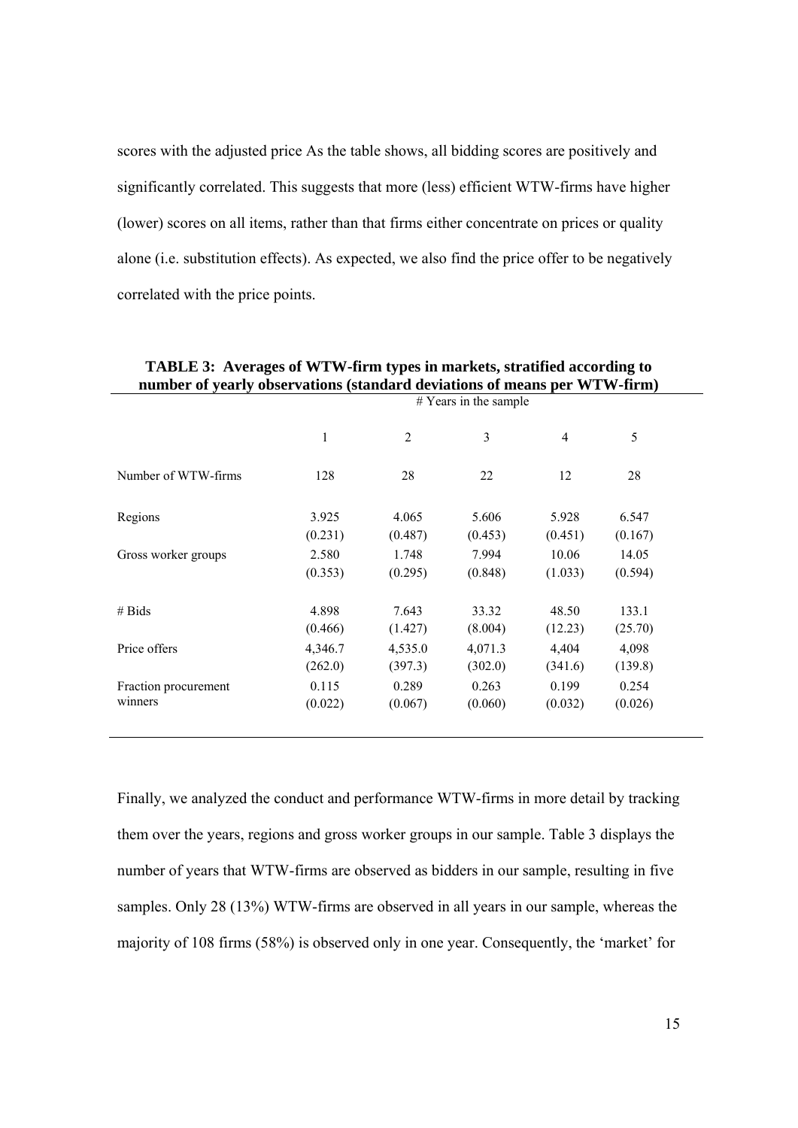scores with the adjusted price As the table shows, all bidding scores are positively and significantly correlated. This suggests that more (less) efficient WTW-firms have higher (lower) scores on all items, rather than that firms either concentrate on prices or quality alone (i.e. substitution effects). As expected, we also find the price offer to be negatively correlated with the price points.

|                      |         |                | $#$ Years in the sample |         |         |
|----------------------|---------|----------------|-------------------------|---------|---------|
|                      | 1       | $\overline{2}$ | 3                       | 4       | 5       |
| Number of WTW-firms  | 128     | 28             | 22                      | 12      | 28      |
| Regions              | 3.925   | 4.065          | 5.606                   | 5.928   | 6.547   |
|                      | (0.231) | (0.487)        | (0.453)                 | (0.451) | (0.167) |
| Gross worker groups  | 2.580   | 1.748          | 7.994                   | 10.06   | 14.05   |
|                      | (0.353) | (0.295)        | (0.848)                 | (1.033) | (0.594) |
| # Bids               | 4.898   | 7.643          | 33.32                   | 48.50   | 133.1   |
|                      | (0.466) | (1.427)        | (8.004)                 | (12.23) | (25.70) |
| Price offers         | 4,346.7 | 4,535.0        | 4,071.3                 | 4,404   | 4,098   |
|                      | (262.0) | (397.3)        | (302.0)                 | (341.6) | (139.8) |
| Fraction procurement | 0.115   | 0.289          | 0.263                   | 0.199   | 0.254   |
| winners              | (0.022) | (0.067)        | (0.060)                 | (0.032) | (0.026) |

Finally, we analyzed the conduct and performance WTW-firms in more detail by tracking them over the years, regions and gross worker groups in our sample. Table 3 displays the number of years that WTW-firms are observed as bidders in our sample, resulting in five samples. Only 28 (13%) WTW-firms are observed in all years in our sample, whereas the majority of 108 firms (58%) is observed only in one year. Consequently, the 'market' for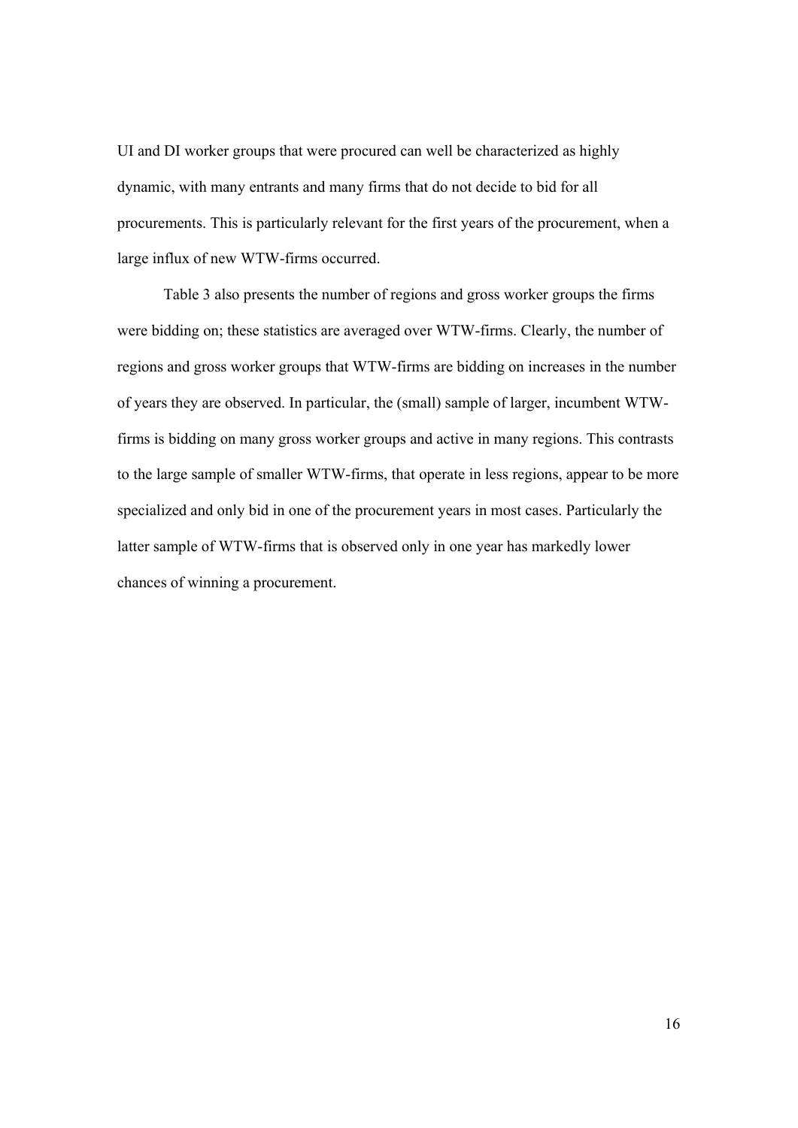UI and DI worker groups that were procured can well be characterized as highly dynamic, with many entrants and many firms that do not decide to bid for all procurements. This is particularly relevant for the first years of the procurement, when a large influx of new WTW-firms occurred.

Table 3 also presents the number of regions and gross worker groups the firms were bidding on; these statistics are averaged over WTW-firms. Clearly, the number of regions and gross worker groups that WTW-firms are bidding on increases in the number of years they are observed. In particular, the (small) sample of larger, incumbent WTWfirms is bidding on many gross worker groups and active in many regions. This contrasts to the large sample of smaller WTW-firms, that operate in less regions, appear to be more specialized and only bid in one of the procurement years in most cases. Particularly the latter sample of WTW-firms that is observed only in one year has markedly lower chances of winning a procurement.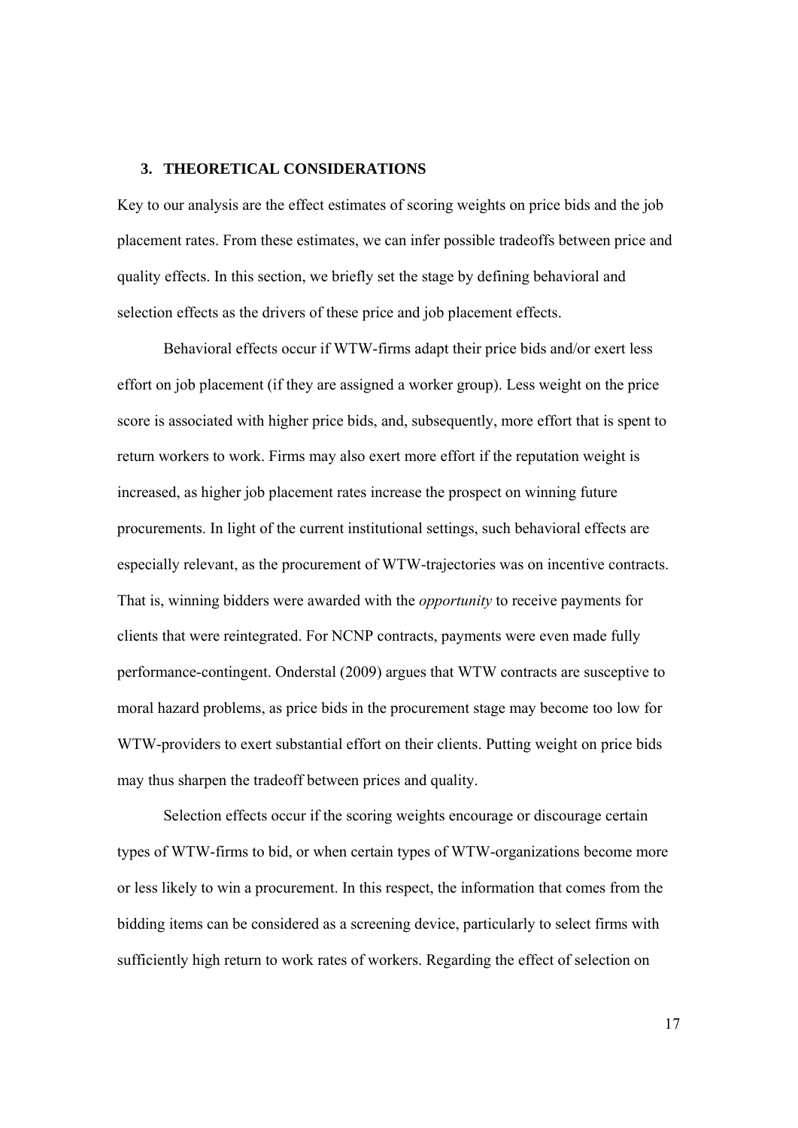#### **3. THEORETICAL CONSIDERATIONS**

Key to our analysis are the effect estimates of scoring weights on price bids and the job placement rates. From these estimates, we can infer possible tradeoffs between price and quality effects. In this section, we briefly set the stage by defining behavioral and selection effects as the drivers of these price and job placement effects.

 Behavioral effects occur if WTW-firms adapt their price bids and/or exert less effort on job placement (if they are assigned a worker group). Less weight on the price score is associated with higher price bids, and, subsequently, more effort that is spent to return workers to work. Firms may also exert more effort if the reputation weight is increased, as higher job placement rates increase the prospect on winning future procurements. In light of the current institutional settings, such behavioral effects are especially relevant, as the procurement of WTW-trajectories was on incentive contracts. That is, winning bidders were awarded with the *opportunity* to receive payments for clients that were reintegrated. For NCNP contracts, payments were even made fully performance-contingent. Onderstal (2009) argues that WTW contracts are susceptive to moral hazard problems, as price bids in the procurement stage may become too low for WTW-providers to exert substantial effort on their clients. Putting weight on price bids may thus sharpen the tradeoff between prices and quality.

 Selection effects occur if the scoring weights encourage or discourage certain types of WTW-firms to bid, or when certain types of WTW-organizations become more or less likely to win a procurement. In this respect, the information that comes from the bidding items can be considered as a screening device, particularly to select firms with sufficiently high return to work rates of workers. Regarding the effect of selection on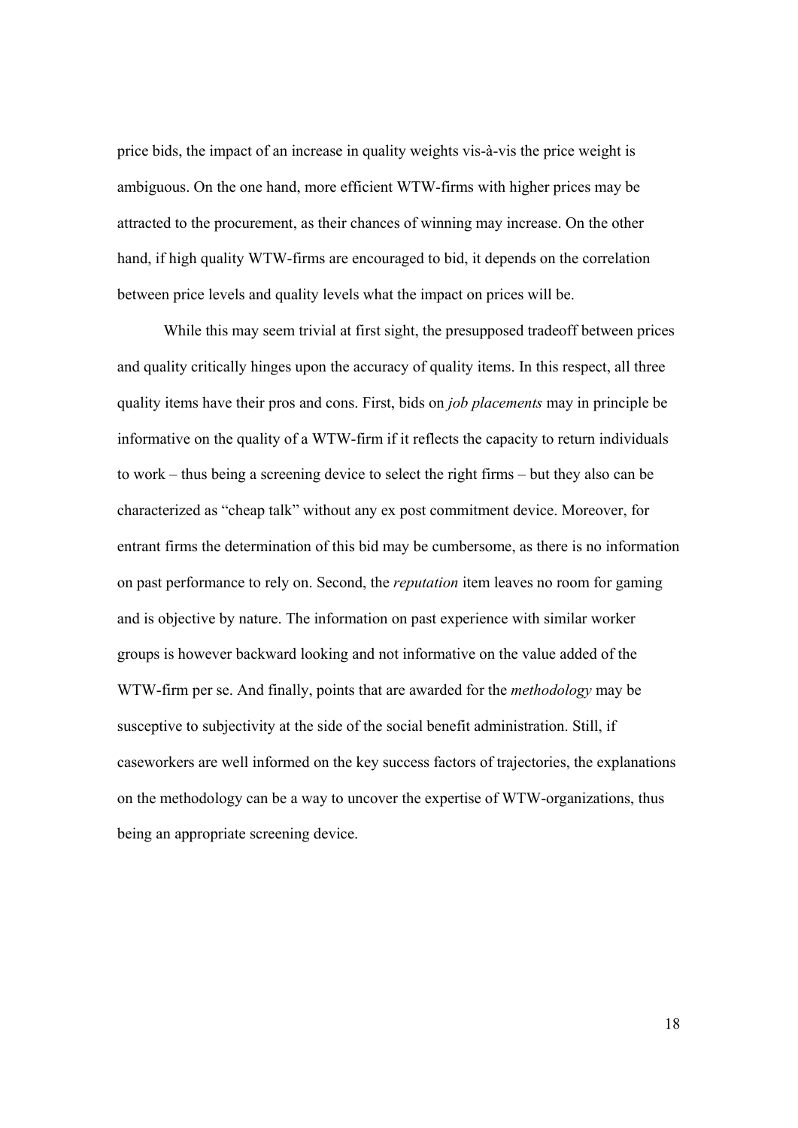price bids, the impact of an increase in quality weights vis-à-vis the price weight is ambiguous. On the one hand, more efficient WTW-firms with higher prices may be attracted to the procurement, as their chances of winning may increase. On the other hand, if high quality WTW-firms are encouraged to bid, it depends on the correlation between price levels and quality levels what the impact on prices will be.

 While this may seem trivial at first sight, the presupposed tradeoff between prices and quality critically hinges upon the accuracy of quality items. In this respect, all three quality items have their pros and cons. First, bids on *job placements* may in principle be informative on the quality of a WTW-firm if it reflects the capacity to return individuals to work – thus being a screening device to select the right firms – but they also can be characterized as "cheap talk" without any ex post commitment device. Moreover, for entrant firms the determination of this bid may be cumbersome, as there is no information on past performance to rely on. Second, the *reputation* item leaves no room for gaming and is objective by nature. The information on past experience with similar worker groups is however backward looking and not informative on the value added of the WTW-firm per se. And finally, points that are awarded for the *methodology* may be susceptive to subjectivity at the side of the social benefit administration. Still, if caseworkers are well informed on the key success factors of trajectories, the explanations on the methodology can be a way to uncover the expertise of WTW-organizations, thus being an appropriate screening device.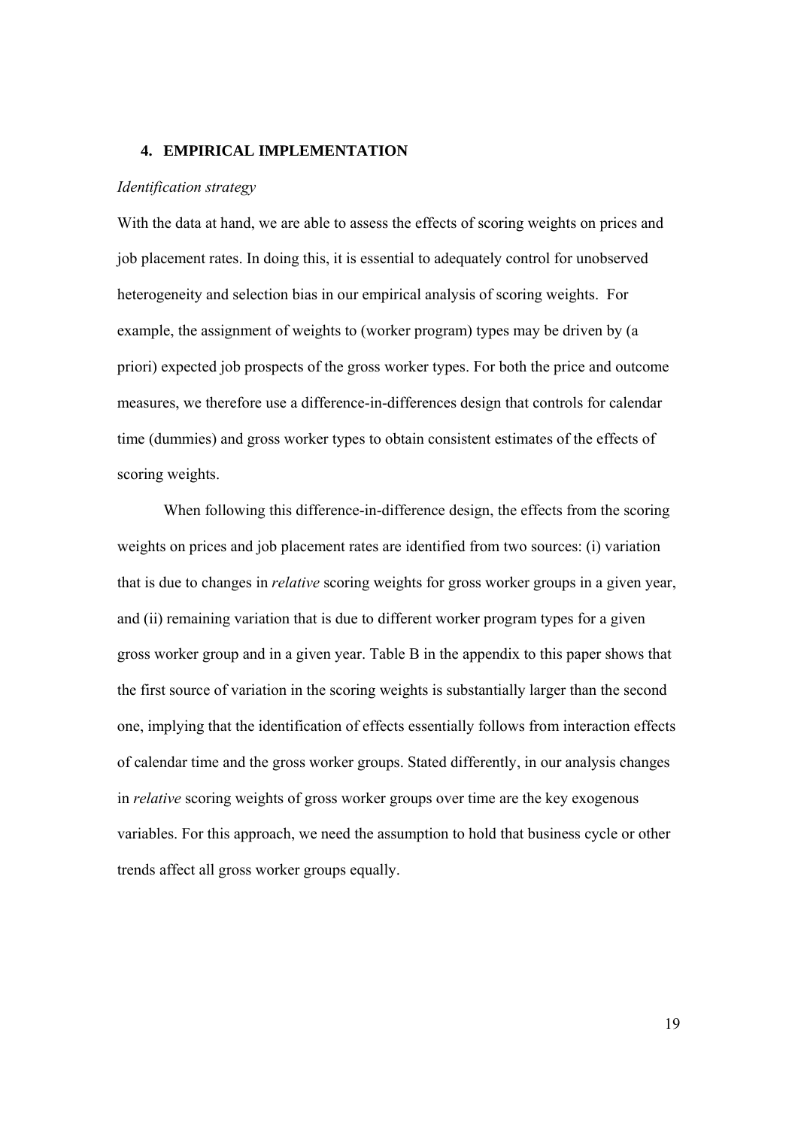#### **4. EMPIRICAL IMPLEMENTATION**

#### *Identification strategy*

With the data at hand, we are able to assess the effects of scoring weights on prices and job placement rates. In doing this, it is essential to adequately control for unobserved heterogeneity and selection bias in our empirical analysis of scoring weights. For example, the assignment of weights to (worker program) types may be driven by (a priori) expected job prospects of the gross worker types. For both the price and outcome measures, we therefore use a difference-in-differences design that controls for calendar time (dummies) and gross worker types to obtain consistent estimates of the effects of scoring weights.

 When following this difference-in-difference design, the effects from the scoring weights on prices and job placement rates are identified from two sources: (i) variation that is due to changes in *relative* scoring weights for gross worker groups in a given year, and (ii) remaining variation that is due to different worker program types for a given gross worker group and in a given year. Table B in the appendix to this paper shows that the first source of variation in the scoring weights is substantially larger than the second one, implying that the identification of effects essentially follows from interaction effects of calendar time and the gross worker groups. Stated differently, in our analysis changes in *relative* scoring weights of gross worker groups over time are the key exogenous variables. For this approach, we need the assumption to hold that business cycle or other trends affect all gross worker groups equally.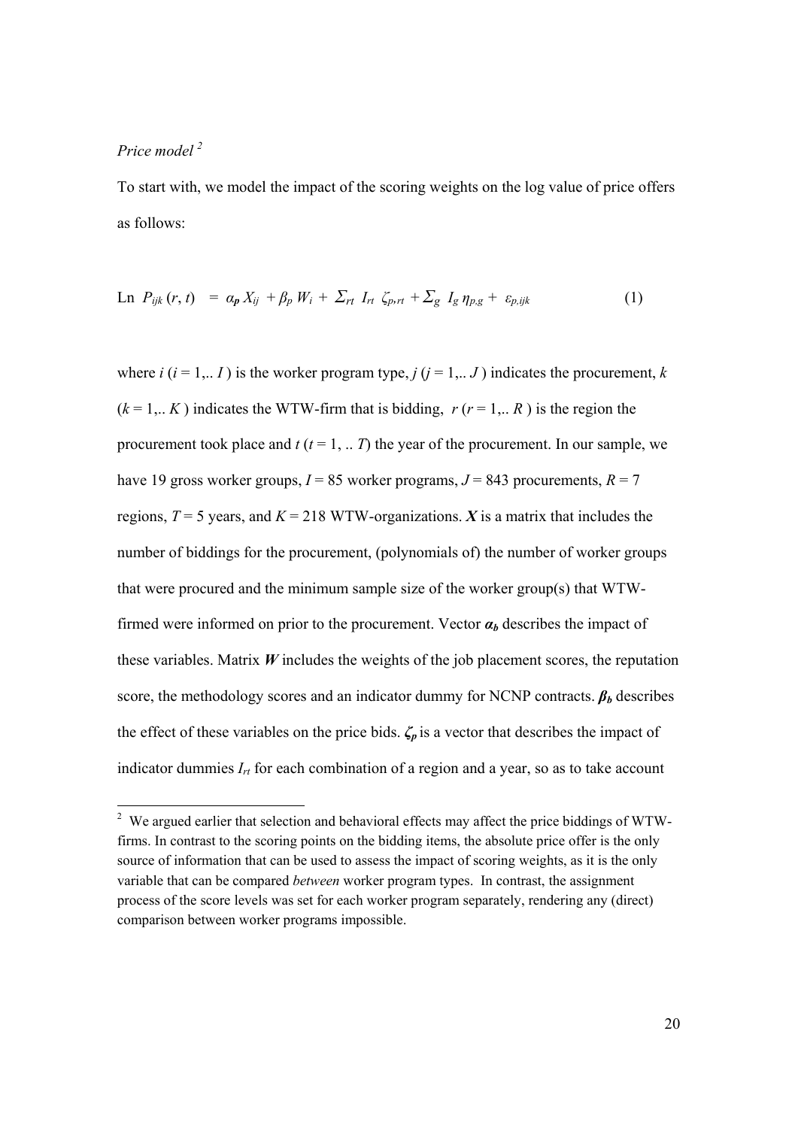#### *Price model 2*

To start with, we model the impact of the scoring weights on the log value of price offers as follows:

$$
\text{Ln } P_{ijk} (r, t) = \alpha_p X_{ij} + \beta_p W_i + \sum_{rt} I_{rt} \zeta_{p,rt} + \sum_g I_g \eta_{p,g} + \varepsilon_{p,ijk} \tag{1}
$$

where  $i$  ( $i = 1,.., I$ ) is the worker program type,  $j$  ( $j = 1,.., J$ ) indicates the procurement,  $k$  $(k = 1,.. K)$  indicates the WTW-firm that is bidding,  $r (r = 1,.. R)$  is the region the procurement took place and  $t$  ( $t = 1, ... T$ ) the year of the procurement. In our sample, we have 19 gross worker groups,  $I = 85$  worker programs,  $J = 843$  procurements,  $R = 7$ regions,  $T = 5$  years, and  $K = 218$  WTW-organizations. *X* is a matrix that includes the number of biddings for the procurement, (polynomials of) the number of worker groups that were procured and the minimum sample size of the worker group(s) that WTWfirmed were informed on prior to the procurement. Vector  $\alpha_b$  describes the impact of these variables. Matrix *W* includes the weights of the job placement scores, the reputation score, the methodology scores and an indicator dummy for NCNP contracts.  $\beta_b$  describes the effect of these variables on the price bids.  $\zeta_p$  is a vector that describes the impact of indicator dummies *Irt* for each combination of a region and a year, so as to take account

<sup>&</sup>lt;sup>2</sup> We argued earlier that selection and behavioral effects may affect the price biddings of WTWfirms. In contrast to the scoring points on the bidding items, the absolute price offer is the only source of information that can be used to assess the impact of scoring weights, as it is the only variable that can be compared *between* worker program types. In contrast, the assignment process of the score levels was set for each worker program separately, rendering any (direct) comparison between worker programs impossible.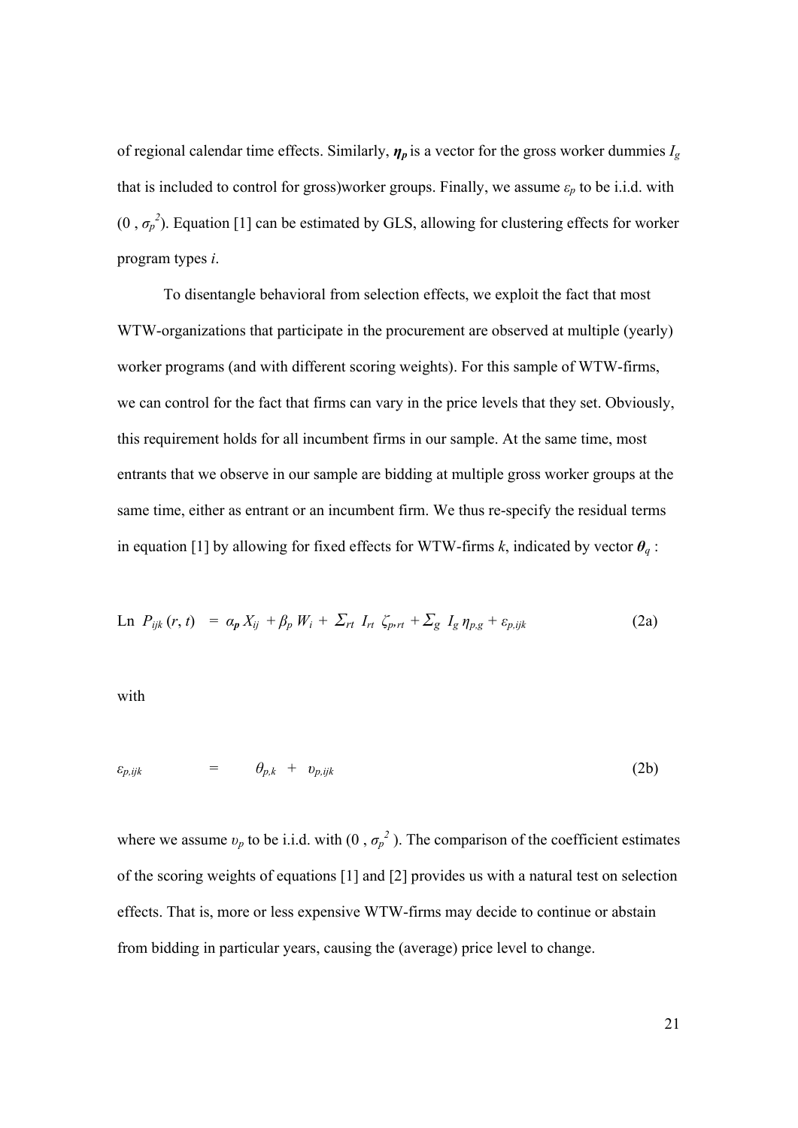of regional calendar time effects. Similarly, *η<sup>p</sup>* is a vector for the gross worker dummies *Ig*  that is included to control for gross)worker groups. Finally, we assume  $\varepsilon_p$  to be i.i.d. with  $(0, \sigma_p^2)$ . Equation [1] can be estimated by GLS, allowing for clustering effects for worker program types *i*.

 To disentangle behavioral from selection effects, we exploit the fact that most WTW-organizations that participate in the procurement are observed at multiple (yearly) worker programs (and with different scoring weights). For this sample of WTW-firms, we can control for the fact that firms can vary in the price levels that they set. Obviously, this requirement holds for all incumbent firms in our sample. At the same time, most entrants that we observe in our sample are bidding at multiple gross worker groups at the same time, either as entrant or an incumbent firm. We thus re-specify the residual terms in equation [1] by allowing for fixed effects for WTW-firms *k*, indicated by vector *θq* :

$$
\text{Ln } P_{ijk} (r, t) = \alpha_p X_{ij} + \beta_p W_i + \sum_{rt} I_{rt} \zeta_{p,rt} + \sum_g I_g \eta_{p,g} + \varepsilon_{p,ijk} \tag{2a}
$$

with

$$
\varepsilon_{p,ijk} = \theta_{p,k} + v_{p,ijk} \tag{2b}
$$

where we assume  $v_p$  to be i.i.d. with  $(0, \sigma_p^2)$ . The comparison of the coefficient estimates of the scoring weights of equations [1] and [2] provides us with a natural test on selection effects. That is, more or less expensive WTW-firms may decide to continue or abstain from bidding in particular years, causing the (average) price level to change.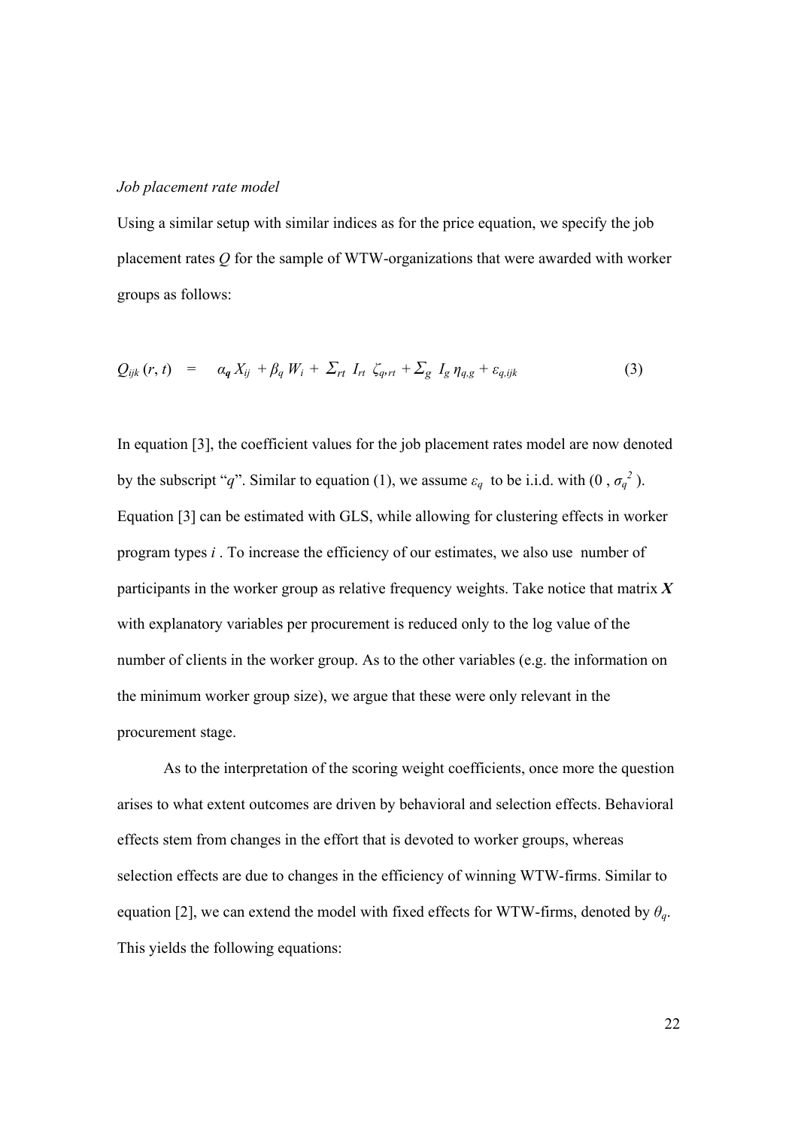#### *Job placement rate model*

Using a similar setup with similar indices as for the price equation, we specify the job placement rates *Q* for the sample of WTW-organizations that were awarded with worker groups as follows:

$$
Q_{ijk}(r, t) = \alpha_q X_{ij} + \beta_q W_i + \sum_{rt} I_{rt} \zeta_{q,rt} + \sum_g I_g \eta_{q,g} + \varepsilon_{q,ijk}
$$
 (3)

In equation [3], the coefficient values for the job placement rates model are now denoted by the subscript "*q*". Similar to equation (1), we assume  $\varepsilon_q$  to be i.i.d. with  $(0, \sigma_q^2)$ . Equation [3] can be estimated with GLS, while allowing for clustering effects in worker program types *i* . To increase the efficiency of our estimates, we also use number of participants in the worker group as relative frequency weights. Take notice that matrix *X* with explanatory variables per procurement is reduced only to the log value of the number of clients in the worker group. As to the other variables (e.g. the information on the minimum worker group size), we argue that these were only relevant in the procurement stage.

 As to the interpretation of the scoring weight coefficients, once more the question arises to what extent outcomes are driven by behavioral and selection effects. Behavioral effects stem from changes in the effort that is devoted to worker groups, whereas selection effects are due to changes in the efficiency of winning WTW-firms. Similar to equation [2], we can extend the model with fixed effects for WTW-firms, denoted by  $\theta_q$ . This yields the following equations: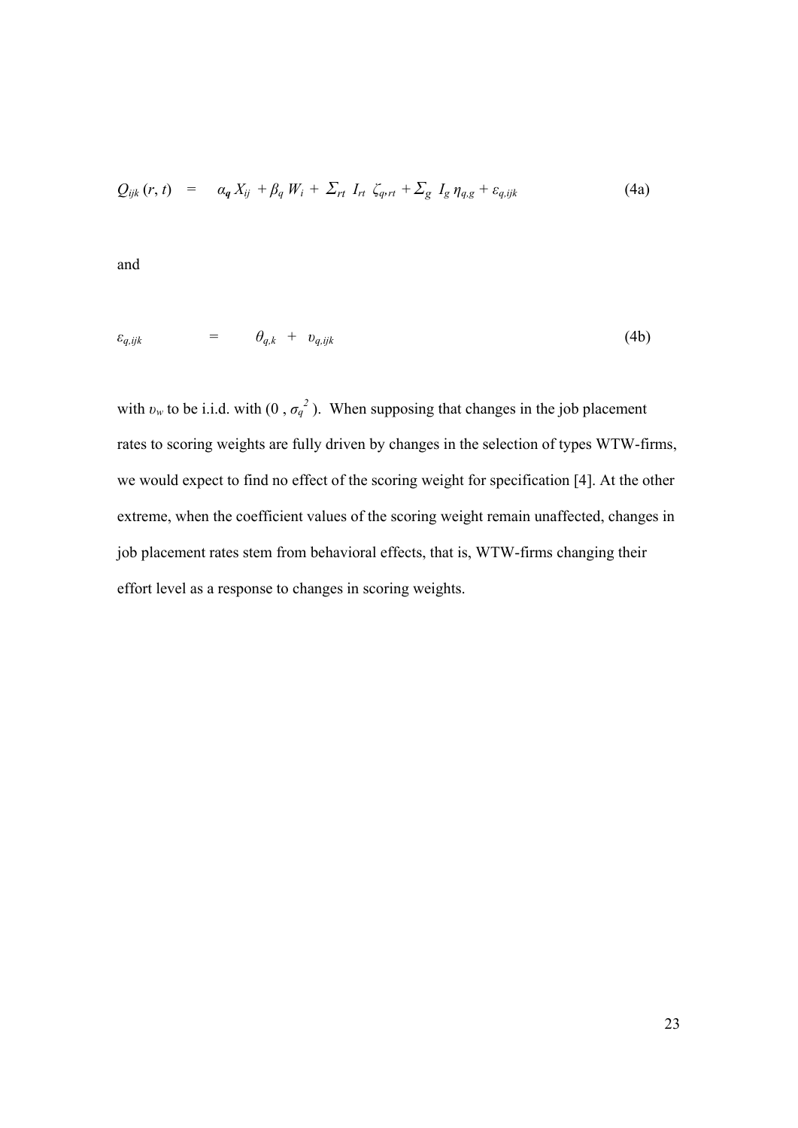$$
Q_{ijk}(r, t) = \alpha_q X_{ij} + \beta_q W_i + \sum_{rt} I_{rt} \zeta_{q, rt} + \sum_g I_g \eta_{q, g} + \varepsilon_{q, ijk}
$$
(4a)

and

$$
\varepsilon_{q,ijk} = \theta_{q,k} + v_{q,ijk} \tag{4b}
$$

with  $v_w$  to be i.i.d. with  $(0, \sigma_q^2)$ . When supposing that changes in the job placement rates to scoring weights are fully driven by changes in the selection of types WTW-firms, we would expect to find no effect of the scoring weight for specification [4]. At the other extreme, when the coefficient values of the scoring weight remain unaffected, changes in job placement rates stem from behavioral effects, that is, WTW-firms changing their effort level as a response to changes in scoring weights.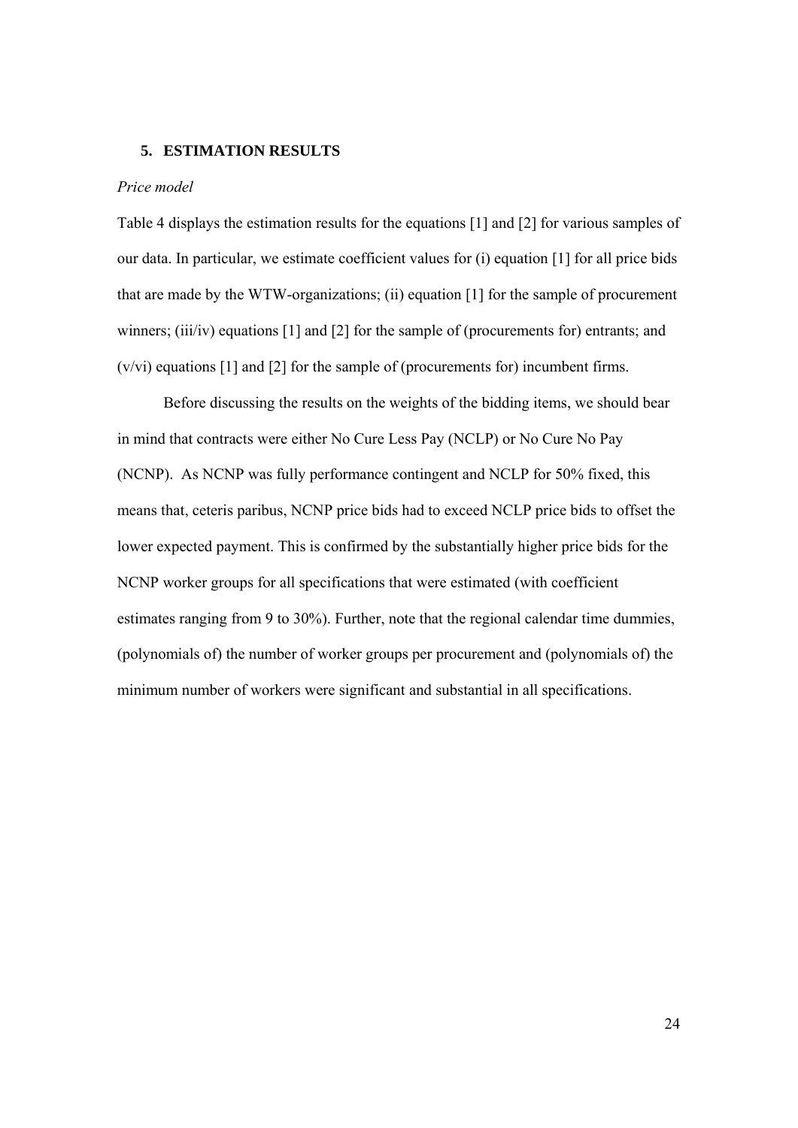#### **5. ESTIMATION RESULTS**

#### *Price model*

Table 4 displays the estimation results for the equations [1] and [2] for various samples of our data. In particular, we estimate coefficient values for (i) equation [1] for all price bids that are made by the WTW-organizations; (ii) equation [1] for the sample of procurement winners; (iii/iv) equations [1] and [2] for the sample of (procurements for) entrants; and (v/vi) equations [1] and [2] for the sample of (procurements for) incumbent firms.

 Before discussing the results on the weights of the bidding items, we should bear in mind that contracts were either No Cure Less Pay (NCLP) or No Cure No Pay (NCNP). As NCNP was fully performance contingent and NCLP for 50% fixed, this means that, ceteris paribus, NCNP price bids had to exceed NCLP price bids to offset the lower expected payment. This is confirmed by the substantially higher price bids for the NCNP worker groups for all specifications that were estimated (with coefficient estimates ranging from 9 to 30%). Further, note that the regional calendar time dummies, (polynomials of) the number of worker groups per procurement and (polynomials of) the minimum number of workers were significant and substantial in all specifications.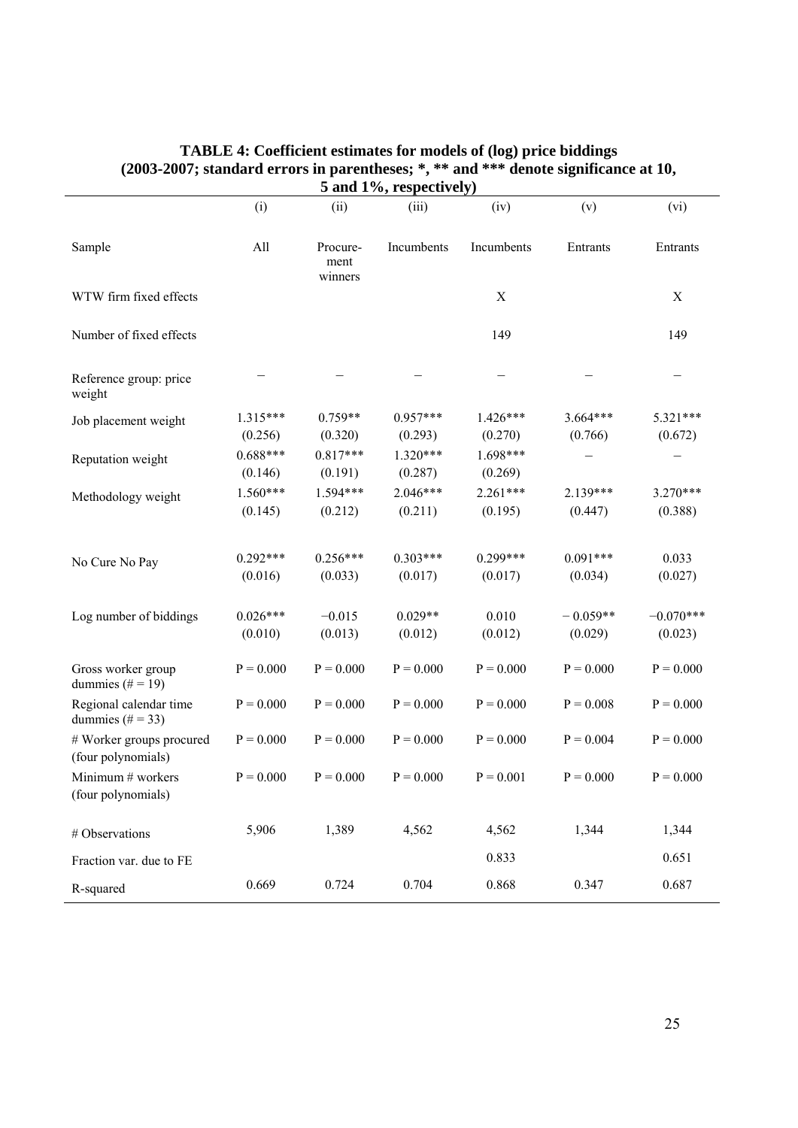|                                                |                       |                             | 5 and 1%, respectively) |                       |                       |                        |
|------------------------------------------------|-----------------------|-----------------------------|-------------------------|-----------------------|-----------------------|------------------------|
|                                                | (i)                   | (ii)                        | (iii)                   | (iv)                  | (v)                   | (vi)                   |
| Sample                                         | All                   | Procure-<br>ment<br>winners | Incumbents              | Incumbents            | Entrants              | Entrants               |
| WTW firm fixed effects                         |                       |                             |                         | $\mathbf X$           |                       | $\mathbf X$            |
| Number of fixed effects                        |                       |                             |                         | 149                   |                       | 149                    |
| Reference group: price<br>weight               |                       |                             |                         |                       |                       |                        |
| Job placement weight                           | 1.315***<br>(0.256)   | $0.759**$<br>(0.320)        | $0.957***$<br>(0.293)   | $1.426***$<br>(0.270) | 3.664***<br>(0.766)   | 5.321***<br>(0.672)    |
| Reputation weight                              | $0.688***$<br>(0.146) | $0.817***$<br>(0.191)       | $1.320***$<br>(0.287)   | 1.698***<br>(0.269)   |                       |                        |
| Methodology weight                             | 1.560***<br>(0.145)   | 1.594***<br>(0.212)         | $2.046***$<br>(0.211)   | $2.261***$<br>(0.195) | 2.139***<br>(0.447)   | 3.270***<br>(0.388)    |
| No Cure No Pay                                 | $0.292***$<br>(0.016) | $0.256***$<br>(0.033)       | $0.303***$<br>(0.017)   | $0.299***$<br>(0.017) | $0.091***$<br>(0.034) | 0.033<br>(0.027)       |
| Log number of biddings                         | $0.026***$<br>(0.010) | $-0.015$<br>(0.013)         | $0.029**$<br>(0.012)    | 0.010<br>(0.012)      | $-0.059**$<br>(0.029) | $-0.070***$<br>(0.023) |
| Gross worker group<br>dummies ( $# = 19$ )     | $P = 0.000$           | $P = 0.000$                 | $P = 0.000$             | $P = 0.000$           | $P = 0.000$           | $P = 0.000$            |
| Regional calendar time<br>dummies $(\# = 33)$  | $P = 0.000$           | $P = 0.000$                 | $P = 0.000$             | $P = 0.000$           | $P = 0.008$           | $P = 0.000$            |
| # Worker groups procured<br>(four polynomials) | $P = 0.000$           | $P = 0.000$                 | $P = 0.000$             | $P = 0.000$           | $P = 0.004$           | $P = 0.000$            |
| Minimum # workers<br>(four polynomials)        | $P = 0.000$           | $P = 0.000$                 | $P = 0.000$             | $P = 0.001$           | $P = 0.000$           | $P = 0.000$            |
| # Observations                                 | 5,906                 | 1,389                       | 4,562                   | 4,562                 | 1,344                 | 1,344                  |
| Fraction var. due to FE                        |                       |                             |                         | 0.833                 |                       | 0.651                  |
| R-squared                                      | 0.669                 | 0.724                       | 0.704                   | 0.868                 | 0.347                 | 0.687                  |

### **TABLE 4: Coefficient estimates for models of (log) price biddings (2003-2007; standard errors in parentheses; \*, \*\* and \*\*\* denote significance at 10,**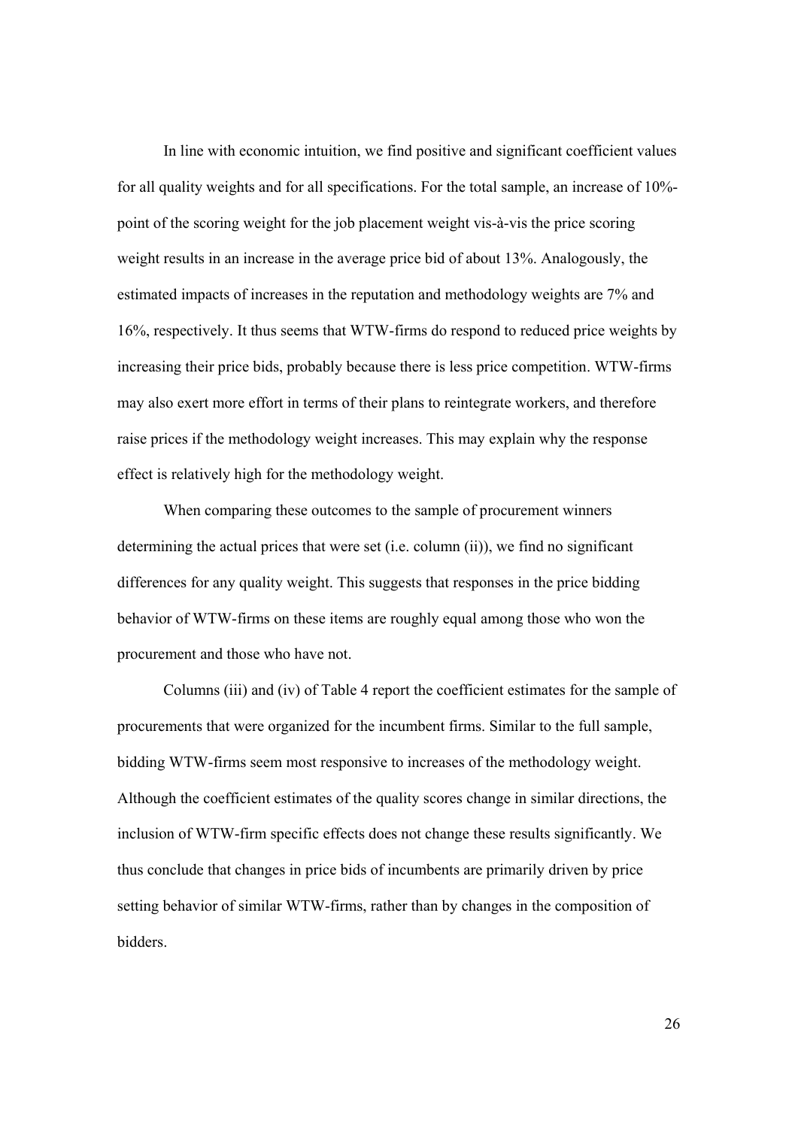In line with economic intuition, we find positive and significant coefficient values for all quality weights and for all specifications. For the total sample, an increase of 10% point of the scoring weight for the job placement weight vis-à-vis the price scoring weight results in an increase in the average price bid of about 13%. Analogously, the estimated impacts of increases in the reputation and methodology weights are 7% and 16%, respectively. It thus seems that WTW-firms do respond to reduced price weights by increasing their price bids, probably because there is less price competition. WTW-firms may also exert more effort in terms of their plans to reintegrate workers, and therefore raise prices if the methodology weight increases. This may explain why the response effect is relatively high for the methodology weight.

 When comparing these outcomes to the sample of procurement winners determining the actual prices that were set (i.e. column (ii)), we find no significant differences for any quality weight. This suggests that responses in the price bidding behavior of WTW-firms on these items are roughly equal among those who won the procurement and those who have not.

 Columns (iii) and (iv) of Table 4 report the coefficient estimates for the sample of procurements that were organized for the incumbent firms. Similar to the full sample, bidding WTW-firms seem most responsive to increases of the methodology weight. Although the coefficient estimates of the quality scores change in similar directions, the inclusion of WTW-firm specific effects does not change these results significantly. We thus conclude that changes in price bids of incumbents are primarily driven by price setting behavior of similar WTW-firms, rather than by changes in the composition of bidders.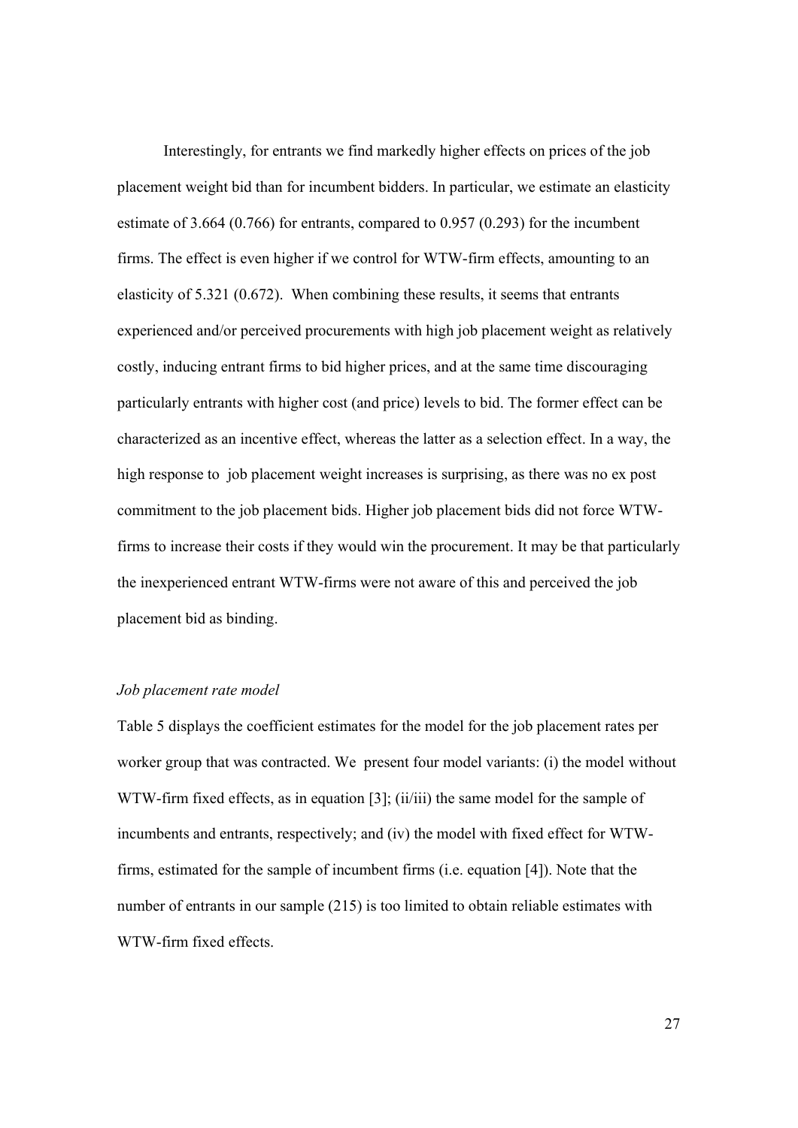Interestingly, for entrants we find markedly higher effects on prices of the job placement weight bid than for incumbent bidders. In particular, we estimate an elasticity estimate of 3.664 (0.766) for entrants, compared to 0.957 (0.293) for the incumbent firms. The effect is even higher if we control for WTW-firm effects, amounting to an elasticity of 5.321 (0.672). When combining these results, it seems that entrants experienced and/or perceived procurements with high job placement weight as relatively costly, inducing entrant firms to bid higher prices, and at the same time discouraging particularly entrants with higher cost (and price) levels to bid. The former effect can be characterized as an incentive effect, whereas the latter as a selection effect. In a way, the high response to job placement weight increases is surprising, as there was no ex post commitment to the job placement bids. Higher job placement bids did not force WTWfirms to increase their costs if they would win the procurement. It may be that particularly the inexperienced entrant WTW-firms were not aware of this and perceived the job placement bid as binding.

#### *Job placement rate model*

Table 5 displays the coefficient estimates for the model for the job placement rates per worker group that was contracted. We present four model variants: (i) the model without WTW-firm fixed effects, as in equation [3]; (ii/iii) the same model for the sample of incumbents and entrants, respectively; and (iv) the model with fixed effect for WTWfirms, estimated for the sample of incumbent firms (i.e. equation [4]). Note that the number of entrants in our sample (215) is too limited to obtain reliable estimates with WTW-firm fixed effects.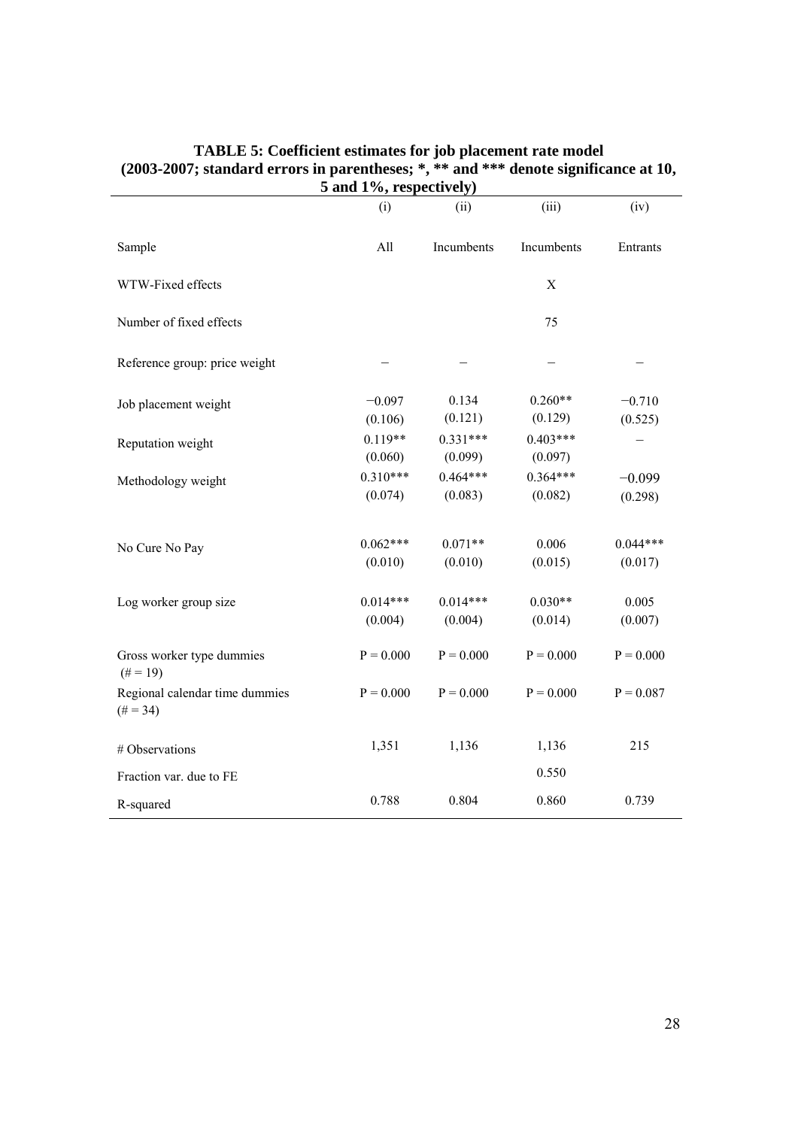|                                               | 5 and 1%, respectively) |                       |                       |                       |
|-----------------------------------------------|-------------------------|-----------------------|-----------------------|-----------------------|
|                                               | (i)                     | (ii)                  | (iii)                 | (iv)                  |
| Sample                                        | All                     | Incumbents            | Incumbents            | Entrants              |
| WTW-Fixed effects                             |                         |                       | $\mathbf X$           |                       |
| Number of fixed effects                       |                         |                       | 75                    |                       |
| Reference group: price weight                 |                         |                       |                       |                       |
| Job placement weight                          | $-0.097$<br>(0.106)     | 0.134<br>(0.121)      | $0.260**$<br>(0.129)  | $-0.710$<br>(0.525)   |
| Reputation weight                             | $0.119**$<br>(0.060)    | $0.331***$<br>(0.099) | $0.403***$<br>(0.097) |                       |
| Methodology weight                            | $0.310***$<br>(0.074)   | $0.464***$<br>(0.083) | $0.364***$<br>(0.082) | $-0.099$<br>(0.298)   |
| No Cure No Pay                                | $0.062***$<br>(0.010)   | $0.071**$<br>(0.010)  | 0.006<br>(0.015)      | $0.044***$<br>(0.017) |
| Log worker group size                         | $0.014***$<br>(0.004)   | $0.014***$<br>(0.004) | $0.030**$<br>(0.014)  | 0.005<br>(0.007)      |
| Gross worker type dummies<br>$(\# = 19)$      | $P = 0.000$             | $P = 0.000$           | $P = 0.000$           | $P = 0.000$           |
| Regional calendar time dummies<br>$(\# = 34)$ | $P = 0.000$             | $P = 0.000$           | $P = 0.000$           | $P = 0.087$           |
| # Observations                                | 1,351                   | 1,136                 | 1,136                 | 215                   |
| Fraction var. due to FE                       |                         |                       | 0.550                 |                       |
| R-squared                                     | 0.788                   | 0.804                 | 0.860                 | 0.739                 |

#### **TABLE 5: Coefficient estimates for job placement rate model (2003-2007; standard errors in parentheses; \*, \*\* and \*\*\* denote significance at 10,**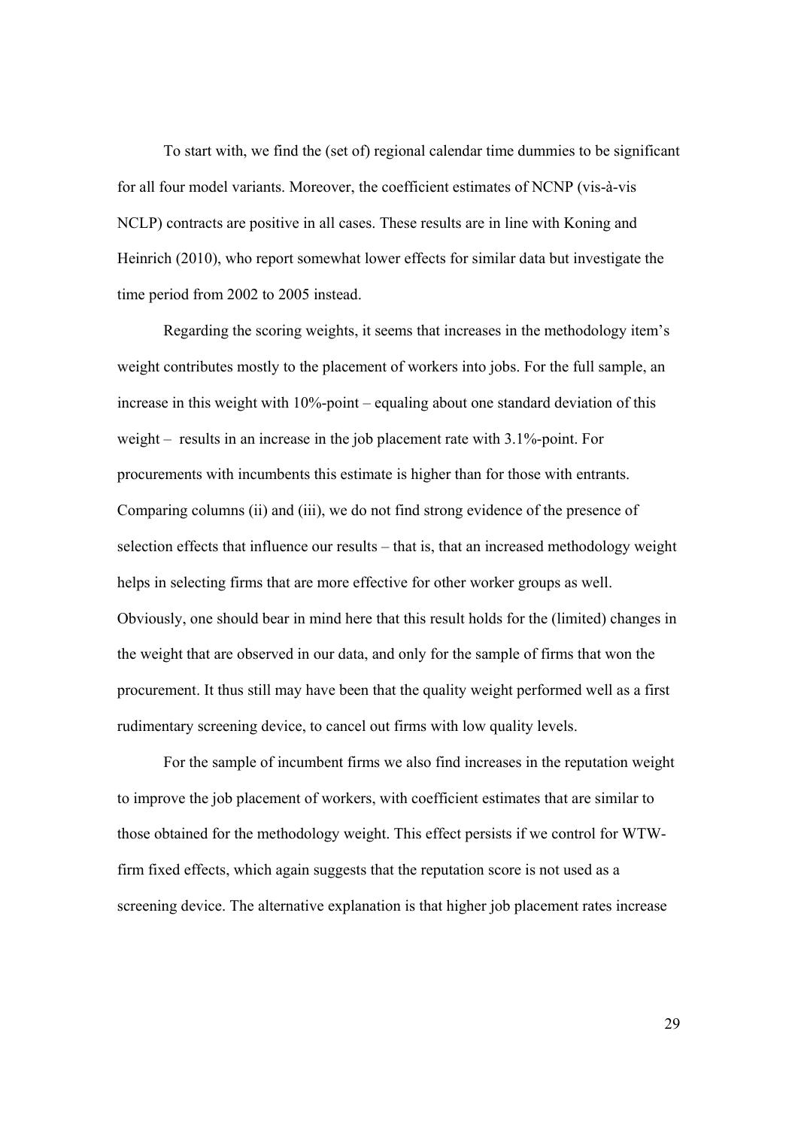To start with, we find the (set of) regional calendar time dummies to be significant for all four model variants. Moreover, the coefficient estimates of NCNP (vis-à-vis NCLP) contracts are positive in all cases. These results are in line with Koning and Heinrich (2010), who report somewhat lower effects for similar data but investigate the time period from 2002 to 2005 instead.

 Regarding the scoring weights, it seems that increases in the methodology item's weight contributes mostly to the placement of workers into jobs. For the full sample, an increase in this weight with 10%-point – equaling about one standard deviation of this weight – results in an increase in the job placement rate with 3.1%-point. For procurements with incumbents this estimate is higher than for those with entrants. Comparing columns (ii) and (iii), we do not find strong evidence of the presence of selection effects that influence our results – that is, that an increased methodology weight helps in selecting firms that are more effective for other worker groups as well. Obviously, one should bear in mind here that this result holds for the (limited) changes in the weight that are observed in our data, and only for the sample of firms that won the procurement. It thus still may have been that the quality weight performed well as a first rudimentary screening device, to cancel out firms with low quality levels.

 For the sample of incumbent firms we also find increases in the reputation weight to improve the job placement of workers, with coefficient estimates that are similar to those obtained for the methodology weight. This effect persists if we control for WTWfirm fixed effects, which again suggests that the reputation score is not used as a screening device. The alternative explanation is that higher job placement rates increase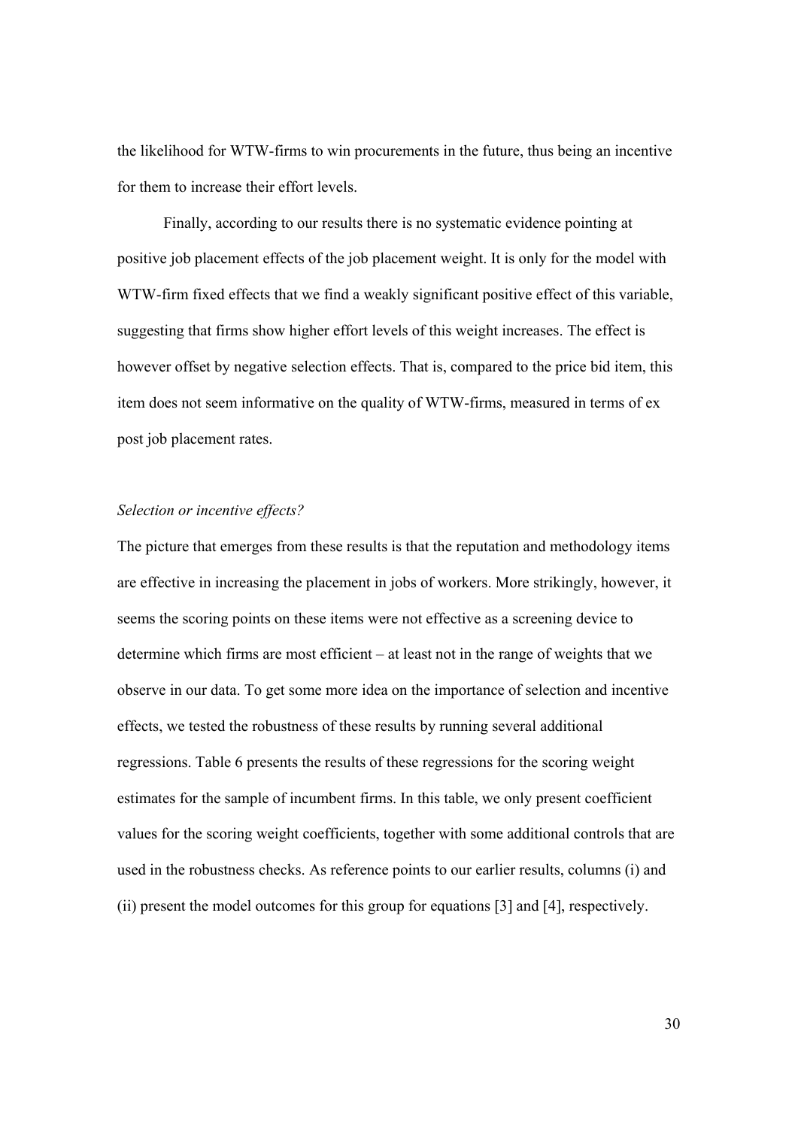the likelihood for WTW-firms to win procurements in the future, thus being an incentive for them to increase their effort levels.

 Finally, according to our results there is no systematic evidence pointing at positive job placement effects of the job placement weight. It is only for the model with WTW-firm fixed effects that we find a weakly significant positive effect of this variable, suggesting that firms show higher effort levels of this weight increases. The effect is however offset by negative selection effects. That is, compared to the price bid item, this item does not seem informative on the quality of WTW-firms, measured in terms of ex post job placement rates.

#### *Selection or incentive effects?*

The picture that emerges from these results is that the reputation and methodology items are effective in increasing the placement in jobs of workers. More strikingly, however, it seems the scoring points on these items were not effective as a screening device to determine which firms are most efficient – at least not in the range of weights that we observe in our data. To get some more idea on the importance of selection and incentive effects, we tested the robustness of these results by running several additional regressions. Table 6 presents the results of these regressions for the scoring weight estimates for the sample of incumbent firms. In this table, we only present coefficient values for the scoring weight coefficients, together with some additional controls that are used in the robustness checks. As reference points to our earlier results, columns (i) and (ii) present the model outcomes for this group for equations [3] and [4], respectively.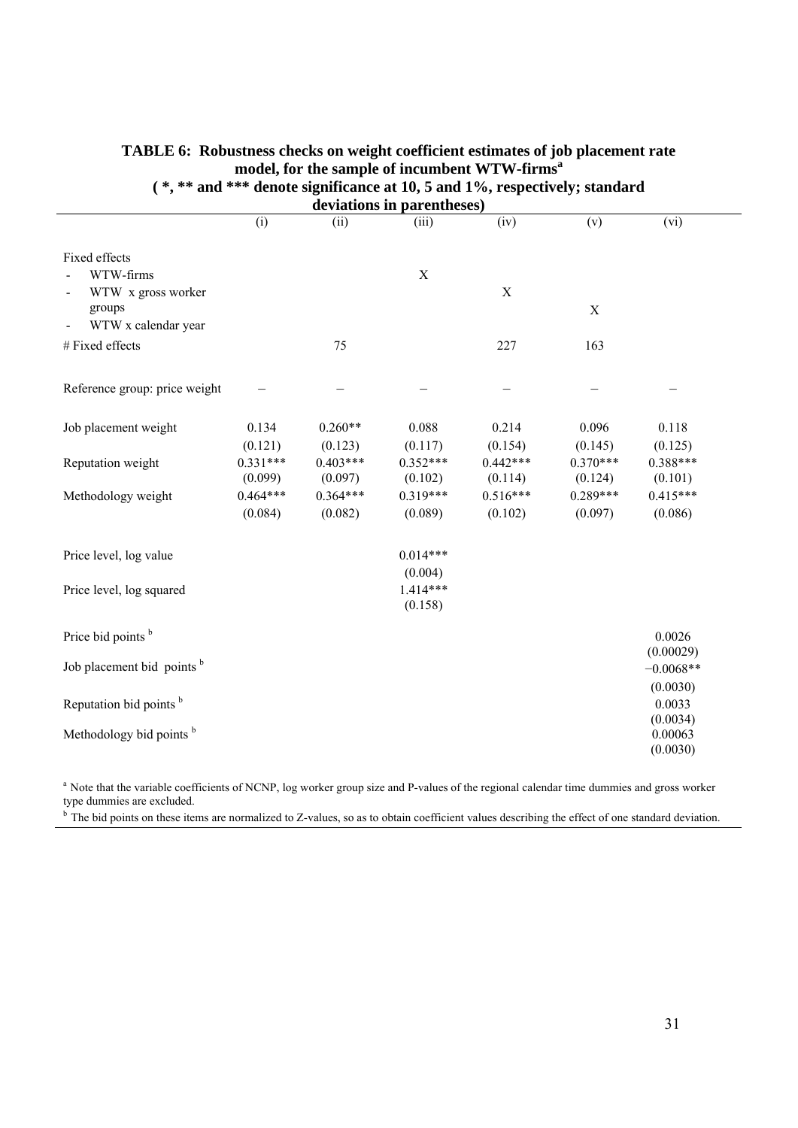|                                                     |                       |                       | deviations in parentheses) |                       |                       |                         |
|-----------------------------------------------------|-----------------------|-----------------------|----------------------------|-----------------------|-----------------------|-------------------------|
|                                                     | (i)                   | (ii)                  | (iii)                      | (iv)                  | (v)                   | (vi)                    |
| Fixed effects<br>WTW-firms                          |                       |                       | $\mathbf X$                |                       |                       |                         |
| WTW x gross worker<br>groups<br>WTW x calendar year |                       |                       |                            | $\mathbf X$           | $\mathbf X$           |                         |
| # Fixed effects                                     |                       | 75                    |                            | 227                   | 163                   |                         |
| Reference group: price weight                       |                       |                       |                            |                       |                       |                         |
| Job placement weight                                | 0.134<br>(0.121)      | $0.260**$<br>(0.123)  | 0.088<br>(0.117)           | 0.214<br>(0.154)      | 0.096<br>(0.145)      | 0.118<br>(0.125)        |
| Reputation weight                                   | $0.331***$<br>(0.099) | $0.403***$<br>(0.097) | $0.352***$<br>(0.102)      | $0.442***$<br>(0.114) | $0.370***$<br>(0.124) | 0.388***<br>(0.101)     |
| Methodology weight                                  | $0.464***$<br>(0.084) | $0.364***$<br>(0.082) | $0.319***$<br>(0.089)      | $0.516***$<br>(0.102) | $0.289***$<br>(0.097) | $0.415***$<br>(0.086)   |
| Price level, log value                              |                       |                       | $0.014***$<br>(0.004)      |                       |                       |                         |
| Price level, log squared                            |                       |                       | $1.414***$<br>(0.158)      |                       |                       |                         |
| Price bid points <sup>b</sup>                       |                       |                       |                            |                       |                       | 0.0026<br>(0.00029)     |
| Job placement bid points b                          |                       |                       |                            |                       |                       | $-0.0068**$<br>(0.0030) |
| Reputation bid points <sup>b</sup>                  |                       |                       |                            |                       |                       | 0.0033<br>(0.0034)      |
| Methodology bid points <sup>b</sup>                 |                       |                       |                            |                       |                       | 0.00063<br>(0.0030)     |

#### **TABLE 6: Robustness checks on weight coefficient estimates of job placement rate model, for the sample of incumbent WTW-firms<sup>a</sup>**

**( \*, \*\* and \*\*\* denote significance at 10, 5 and 1%, respectively; standard** 

<sup>a</sup> Note that the variable coefficients of NCNP, log worker group size and P-values of the regional calendar time dummies and gross worker type dummies are excluded.

<sup>b</sup> The bid points on these items are normalized to Z-values, so as to obtain coefficient values describing the effect of one standard deviation.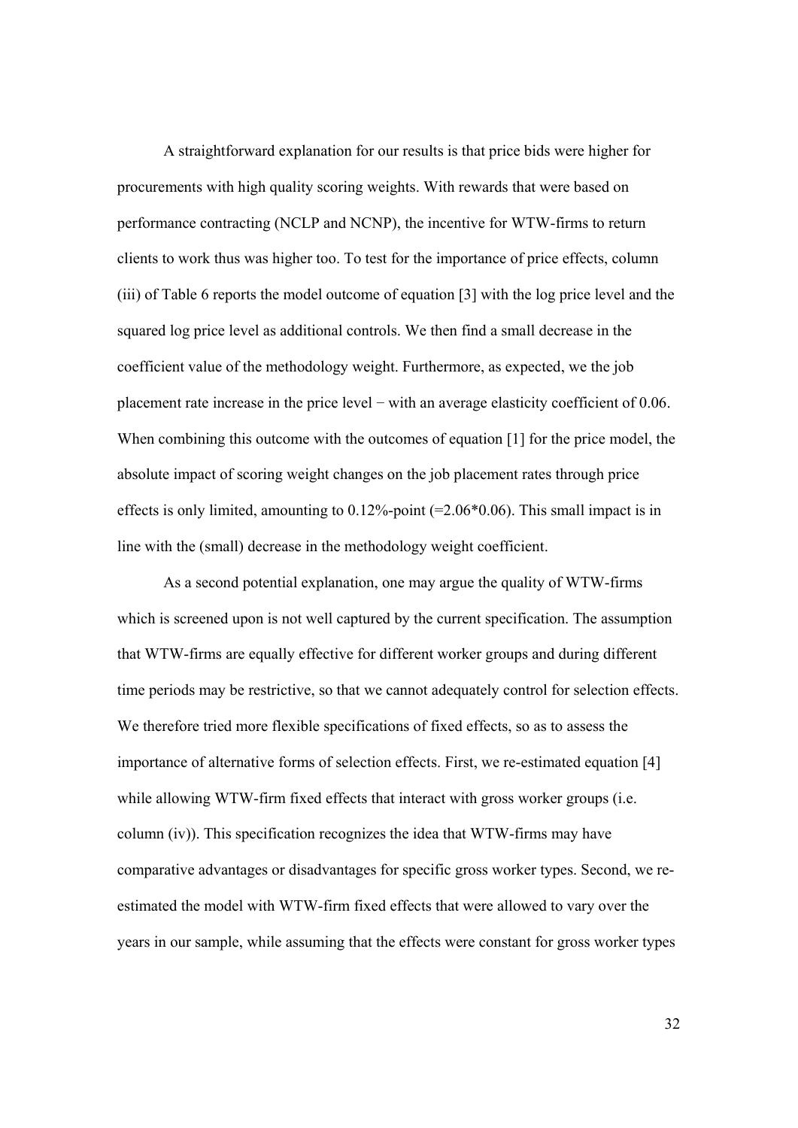A straightforward explanation for our results is that price bids were higher for procurements with high quality scoring weights. With rewards that were based on performance contracting (NCLP and NCNP), the incentive for WTW-firms to return clients to work thus was higher too. To test for the importance of price effects, column (iii) of Table 6 reports the model outcome of equation [3] with the log price level and the squared log price level as additional controls. We then find a small decrease in the coefficient value of the methodology weight. Furthermore, as expected, we the job placement rate increase in the price level − with an average elasticity coefficient of 0.06. When combining this outcome with the outcomes of equation [1] for the price model, the absolute impact of scoring weight changes on the job placement rates through price effects is only limited, amounting to  $0.12\%$ -point (=2.06 $*0.06$ ). This small impact is in line with the (small) decrease in the methodology weight coefficient.

 As a second potential explanation, one may argue the quality of WTW-firms which is screened upon is not well captured by the current specification. The assumption that WTW-firms are equally effective for different worker groups and during different time periods may be restrictive, so that we cannot adequately control for selection effects. We therefore tried more flexible specifications of fixed effects, so as to assess the importance of alternative forms of selection effects. First, we re-estimated equation [4] while allowing WTW-firm fixed effects that interact with gross worker groups (i.e. column (iv)). This specification recognizes the idea that WTW-firms may have comparative advantages or disadvantages for specific gross worker types. Second, we reestimated the model with WTW-firm fixed effects that were allowed to vary over the years in our sample, while assuming that the effects were constant for gross worker types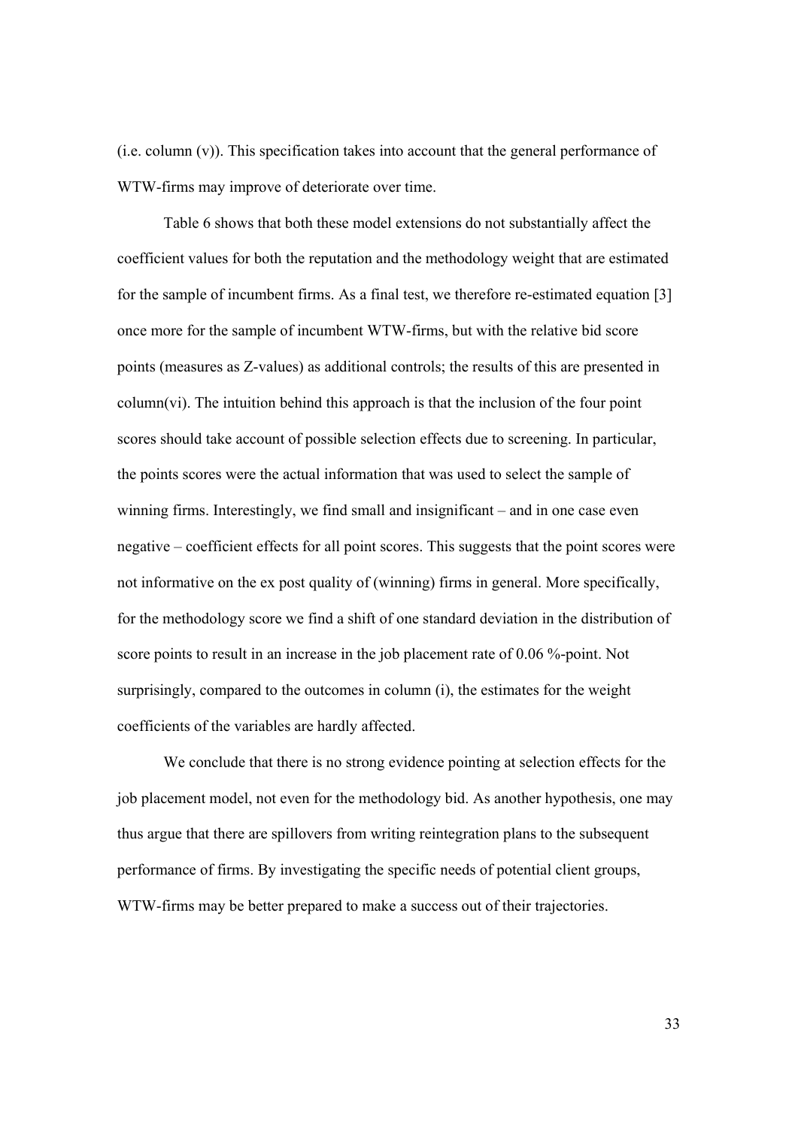(i.e. column (v)). This specification takes into account that the general performance of WTW-firms may improve of deteriorate over time.

 Table 6 shows that both these model extensions do not substantially affect the coefficient values for both the reputation and the methodology weight that are estimated for the sample of incumbent firms. As a final test, we therefore re-estimated equation [3] once more for the sample of incumbent WTW-firms, but with the relative bid score points (measures as Z-values) as additional controls; the results of this are presented in column(vi). The intuition behind this approach is that the inclusion of the four point scores should take account of possible selection effects due to screening. In particular, the points scores were the actual information that was used to select the sample of winning firms. Interestingly, we find small and insignificant – and in one case even negative – coefficient effects for all point scores. This suggests that the point scores were not informative on the ex post quality of (winning) firms in general. More specifically, for the methodology score we find a shift of one standard deviation in the distribution of score points to result in an increase in the job placement rate of 0.06 %-point. Not surprisingly, compared to the outcomes in column (i), the estimates for the weight coefficients of the variables are hardly affected.

 We conclude that there is no strong evidence pointing at selection effects for the job placement model, not even for the methodology bid. As another hypothesis, one may thus argue that there are spillovers from writing reintegration plans to the subsequent performance of firms. By investigating the specific needs of potential client groups, WTW-firms may be better prepared to make a success out of their trajectories.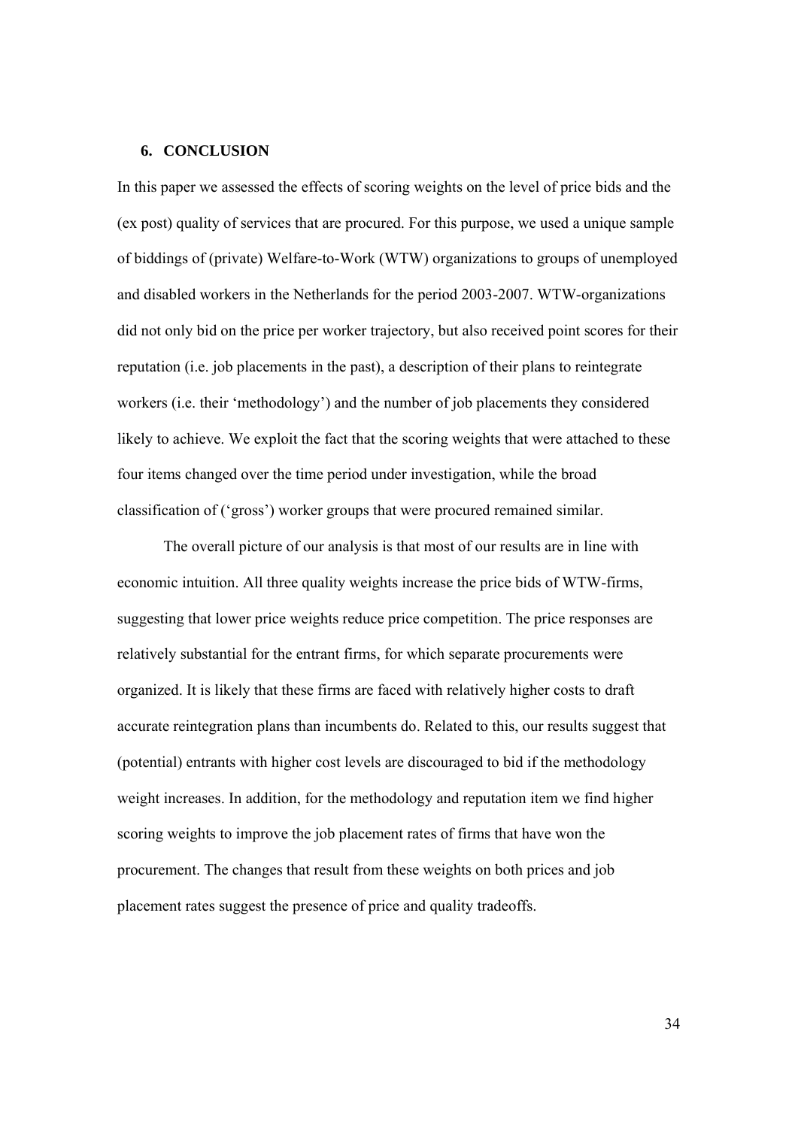#### **6. CONCLUSION**

In this paper we assessed the effects of scoring weights on the level of price bids and the (ex post) quality of services that are procured. For this purpose, we used a unique sample of biddings of (private) Welfare-to-Work (WTW) organizations to groups of unemployed and disabled workers in the Netherlands for the period 2003-2007. WTW-organizations did not only bid on the price per worker trajectory, but also received point scores for their reputation (i.e. job placements in the past), a description of their plans to reintegrate workers (i.e. their 'methodology') and the number of job placements they considered likely to achieve. We exploit the fact that the scoring weights that were attached to these four items changed over the time period under investigation, while the broad classification of ('gross') worker groups that were procured remained similar.

 The overall picture of our analysis is that most of our results are in line with economic intuition. All three quality weights increase the price bids of WTW-firms, suggesting that lower price weights reduce price competition. The price responses are relatively substantial for the entrant firms, for which separate procurements were organized. It is likely that these firms are faced with relatively higher costs to draft accurate reintegration plans than incumbents do. Related to this, our results suggest that (potential) entrants with higher cost levels are discouraged to bid if the methodology weight increases. In addition, for the methodology and reputation item we find higher scoring weights to improve the job placement rates of firms that have won the procurement. The changes that result from these weights on both prices and job placement rates suggest the presence of price and quality tradeoffs.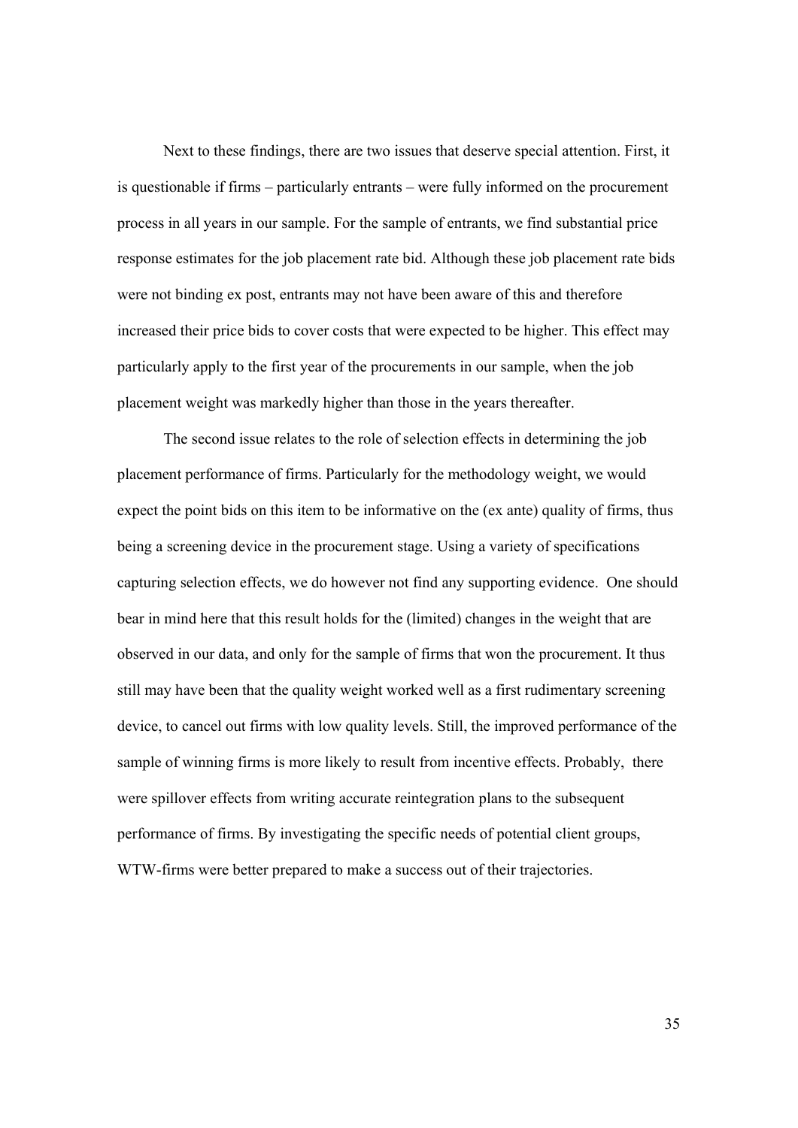Next to these findings, there are two issues that deserve special attention. First, it is questionable if firms – particularly entrants – were fully informed on the procurement process in all years in our sample. For the sample of entrants, we find substantial price response estimates for the job placement rate bid. Although these job placement rate bids were not binding ex post, entrants may not have been aware of this and therefore increased their price bids to cover costs that were expected to be higher. This effect may particularly apply to the first year of the procurements in our sample, when the job placement weight was markedly higher than those in the years thereafter.

 The second issue relates to the role of selection effects in determining the job placement performance of firms. Particularly for the methodology weight, we would expect the point bids on this item to be informative on the (ex ante) quality of firms, thus being a screening device in the procurement stage. Using a variety of specifications capturing selection effects, we do however not find any supporting evidence. One should bear in mind here that this result holds for the (limited) changes in the weight that are observed in our data, and only for the sample of firms that won the procurement. It thus still may have been that the quality weight worked well as a first rudimentary screening device, to cancel out firms with low quality levels. Still, the improved performance of the sample of winning firms is more likely to result from incentive effects. Probably, there were spillover effects from writing accurate reintegration plans to the subsequent performance of firms. By investigating the specific needs of potential client groups, WTW-firms were better prepared to make a success out of their trajectories.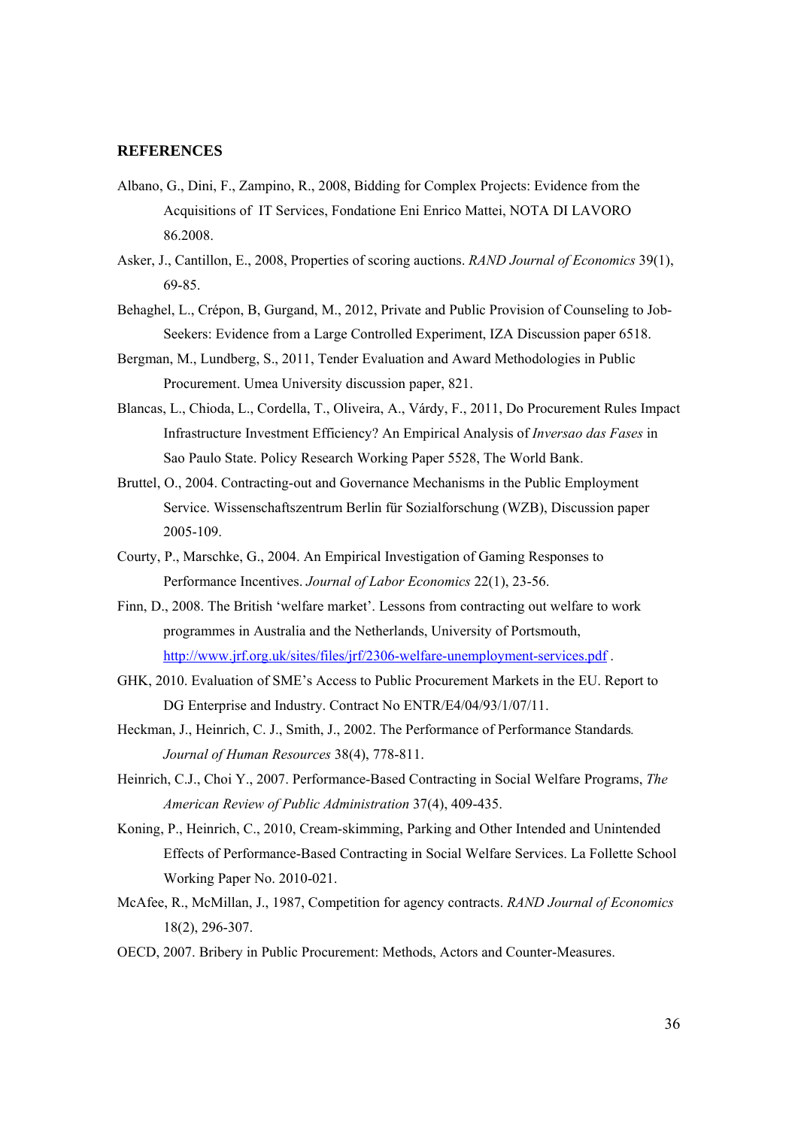#### **REFERENCES**

- Albano, G., Dini, F., Zampino, R., 2008, Bidding for Complex Projects: Evidence from the Acquisitions of IT Services, Fondatione Eni Enrico Mattei, NOTA DI LAVORO 86.2008.
- Asker, J., Cantillon, E., 2008, Properties of scoring auctions. *RAND Journal of Economics* 39(1), 69-85.
- Behaghel, L., Crépon, B, Gurgand, M., 2012, Private and Public Provision of Counseling to Job-Seekers: Evidence from a Large Controlled Experiment, IZA Discussion paper 6518.
- Bergman, M., Lundberg, S., 2011, Tender Evaluation and Award Methodologies in Public Procurement. Umea University discussion paper, 821.
- Blancas, L., Chioda, L., Cordella, T., Oliveira, A., Várdy, F., 2011, Do Procurement Rules Impact Infrastructure Investment Efficiency? An Empirical Analysis of *Inversao das Fases* in Sao Paulo State. Policy Research Working Paper 5528, The World Bank.
- Bruttel, O., 2004. Contracting-out and Governance Mechanisms in the Public Employment Service. Wissenschaftszentrum Berlin für Sozialforschung (WZB), Discussion paper 2005-109.
- Courty, P., Marschke, G., 2004. An Empirical Investigation of Gaming Responses to Performance Incentives. *Journal of Labor Economics* 22(1), 23-56.
- Finn, D., 2008. The British 'welfare market'. Lessons from contracting out welfare to work programmes in Australia and the Netherlands, University of Portsmouth, http://www.jrf.org.uk/sites/files/jrf/2306-welfare-unemployment-services.pdf .
- GHK, 2010. Evaluation of SME's Access to Public Procurement Markets in the EU. Report to DG Enterprise and Industry. Contract No ENTR/E4/04/93/1/07/11.
- Heckman, J., Heinrich, C. J., Smith, J., 2002. The Performance of Performance Standards*. Journal of Human Resources* 38(4), 778-811.
- Heinrich, C.J., Choi Y., 2007. Performance-Based Contracting in Social Welfare Programs, *The American Review of Public Administration* 37(4), 409-435.
- Koning, P., Heinrich, C., 2010, Cream-skimming, Parking and Other Intended and Unintended Effects of Performance-Based Contracting in Social Welfare Services. La Follette School Working Paper No. 2010-021.
- McAfee, R., McMillan, J., 1987, Competition for agency contracts. *RAND Journal of Economics* 18(2), 296-307.
- OECD, 2007. Bribery in Public Procurement: Methods, Actors and Counter-Measures.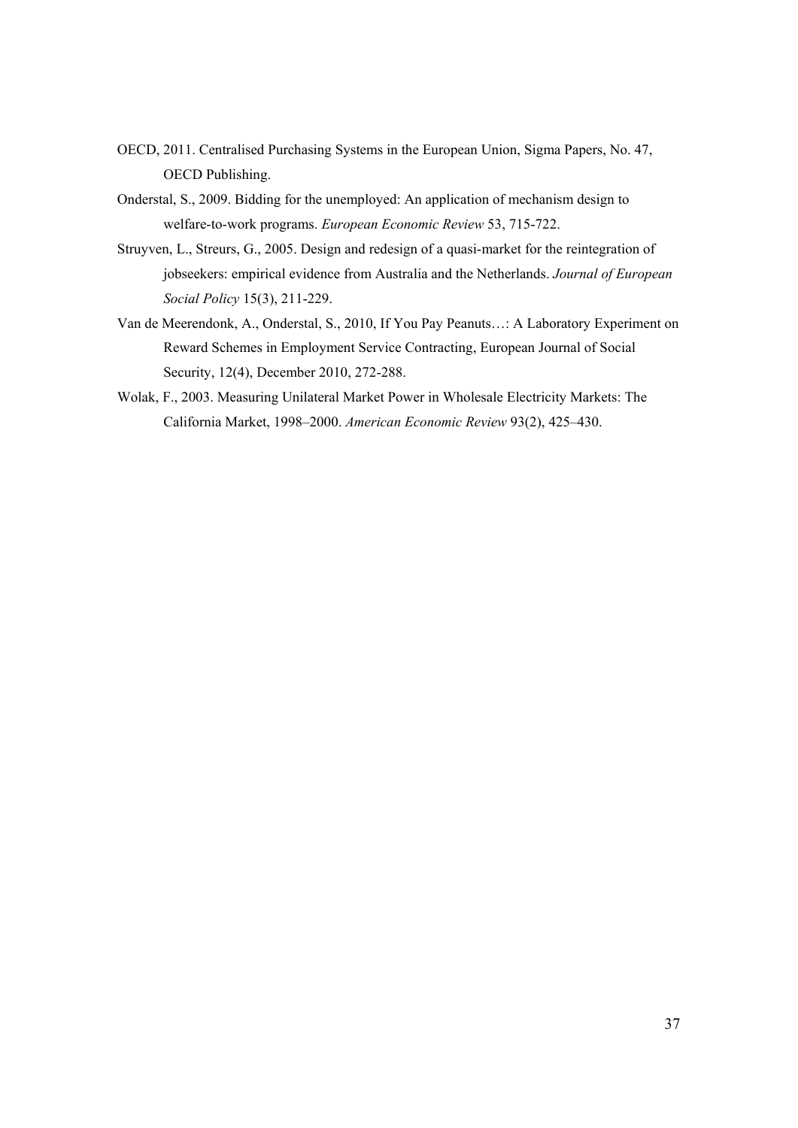- OECD, 2011. Centralised Purchasing Systems in the European Union, Sigma Papers, No. 47, OECD Publishing.
- Onderstal, S., 2009. Bidding for the unemployed: An application of mechanism design to welfare-to-work programs. *European Economic Review* 53, 715-722.
- Struyven, L., Streurs, G., 2005. Design and redesign of a quasi-market for the reintegration of jobseekers: empirical evidence from Australia and the Netherlands. *Journal of European Social Policy* 15(3), 211-229.
- Van de Meerendonk, A., Onderstal, S., 2010, If You Pay Peanuts…: A Laboratory Experiment on Reward Schemes in Employment Service Contracting, European Journal of Social Security, 12(4), December 2010, 272-288.
- Wolak, F., 2003. Measuring Unilateral Market Power in Wholesale Electricity Markets: The California Market, 1998–2000. *American Economic Review* 93(2), 425–430.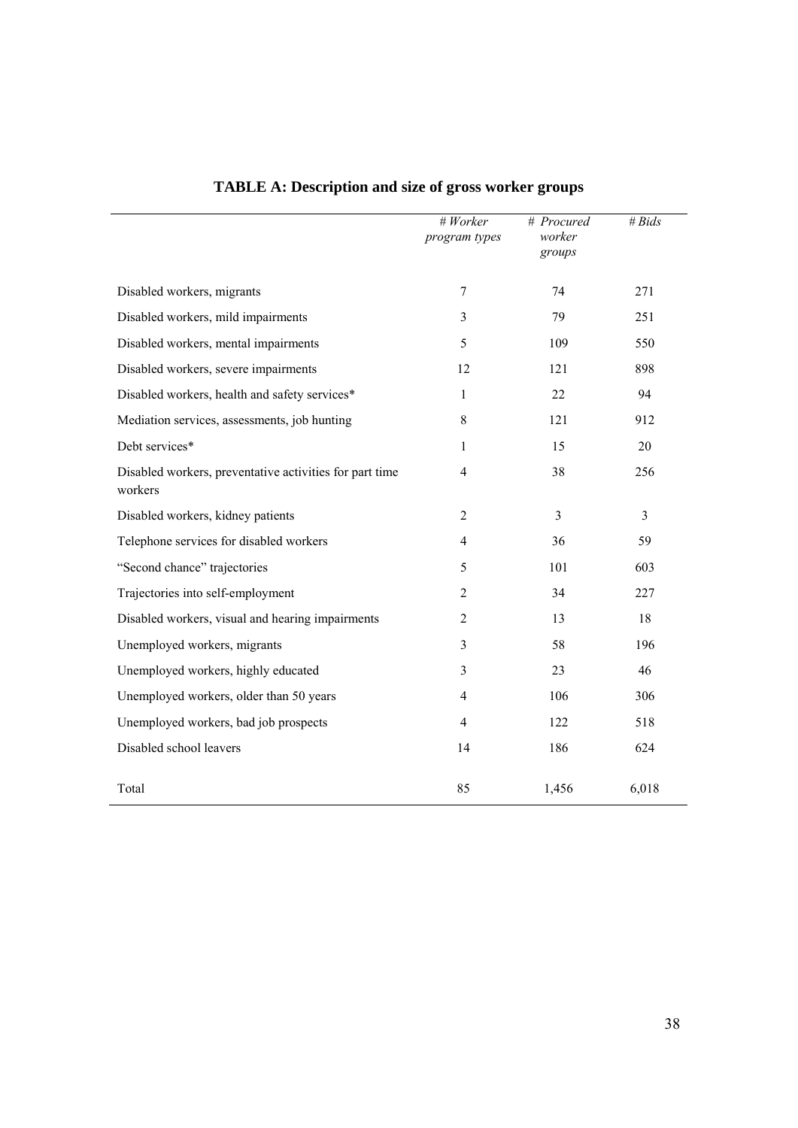|                                                                    | $#$ Worker<br>program types | # Procured<br>worker<br>groups | # $Bids$ |
|--------------------------------------------------------------------|-----------------------------|--------------------------------|----------|
| Disabled workers, migrants                                         | $\tau$                      | 74                             | 271      |
| Disabled workers, mild impairments                                 | 3                           | 79                             | 251      |
| Disabled workers, mental impairments                               | 5                           | 109                            | 550      |
| Disabled workers, severe impairments                               | 12                          | 121                            | 898      |
| Disabled workers, health and safety services*                      | 1                           | 22                             | 94       |
| Mediation services, assessments, job hunting                       | 8                           | 121                            | 912      |
| Debt services*                                                     | $\mathbf{1}$                | 15                             | 20       |
| Disabled workers, preventative activities for part time<br>workers | 4                           | 38                             | 256      |
| Disabled workers, kidney patients                                  | $\overline{2}$              | 3                              | 3        |
| Telephone services for disabled workers                            | 4                           | 36                             | 59       |
| "Second chance" trajectories                                       | 5                           | 101                            | 603      |
| Trajectories into self-employment                                  | $\overline{2}$              | 34                             | 227      |
| Disabled workers, visual and hearing impairments                   | $\overline{2}$              | 13                             | 18       |
| Unemployed workers, migrants                                       | 3                           | 58                             | 196      |
| Unemployed workers, highly educated                                | 3                           | 23                             | 46       |
| Unemployed workers, older than 50 years                            | $\overline{4}$              | 106                            | 306      |
| Unemployed workers, bad job prospects                              | 4                           | 122                            | 518      |
| Disabled school leavers                                            | 14                          | 186                            | 624      |
| Total                                                              | 85                          | 1,456                          | 6,018    |

## **TABLE A: Description and size of gross worker groups**